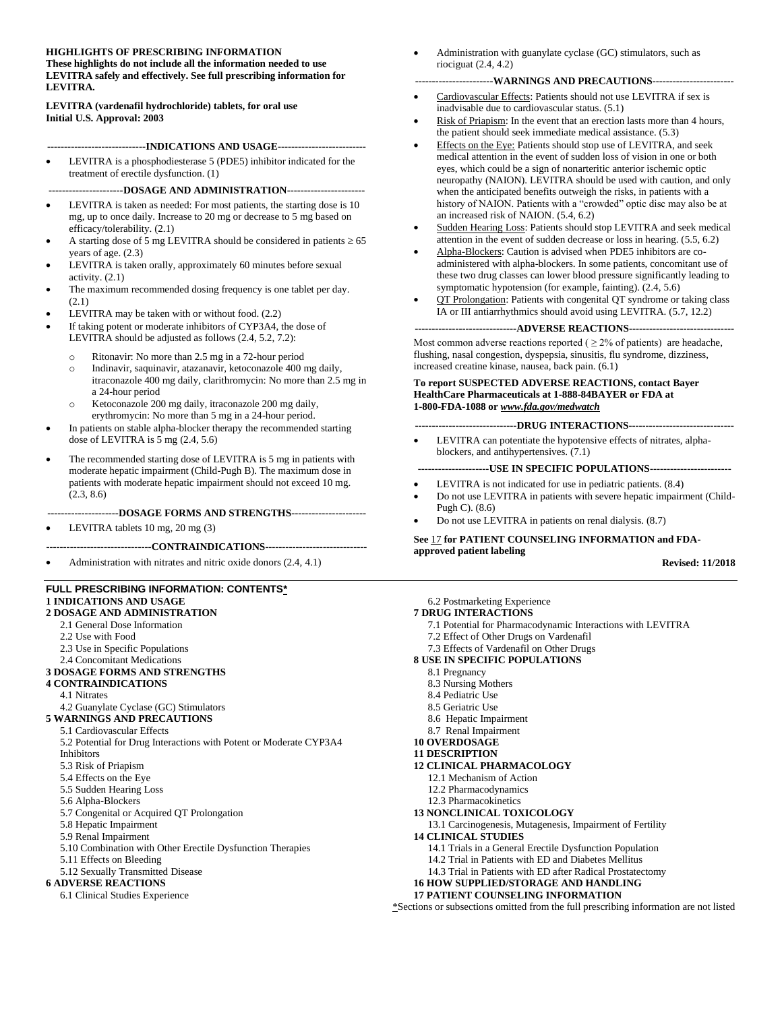### **HIGHLIGHTS OF PRESCRIBING INFORMATION**

**These highlights do not include all the information needed to use LEVITRA safely and effectively. See full prescribing information for LEVITRA.**

**LEVITRA (vardenafil hydrochloride) tablets, for oral use Initial U.S. Approval: 2003**

#### **-----------------------------INDICATIONS AND USAGE--------------------------**

LEVITRA is a phosphodiesterase 5 (PDE5) inhibitor indicated for the treatment of erectile dysfunction. (1)

#### **----------------------DOSAGE AND ADMINISTRATION-----------------------**

- LEVITRA is taken as needed: For most patients, the starting dose is 10 mg, up to once daily. Increase to 20 mg or decrease to 5 mg based on efficacy/tolerability. (2.1)
- A starting dose of 5 mg LEVITRA should be considered in patients  $\geq 65$ years of age. (2.3)
- LEVITRA is taken orally, approximately 60 minutes before sexual activity. (2.1)
- The maximum recommended dosing frequency is one tablet per day.  $(2.1)$
- LEVITRA may be taken with or without food. (2.2)
- If taking potent or moderate inhibitors of CYP3A4, the dose of LEVITRA should be adjusted as follows (2.4, 5.2, 7.2):
	- o Ritonavir: No more than 2.5 mg in a 72-hour period
	- o Indinavir, saquinavir, atazanavir, ketoconazole 400 mg daily, itraconazole 400 mg daily, clarithromycin: No more than 2.5 mg in a 24-hour period
	- o Ketoconazole 200 mg daily, itraconazole 200 mg daily, erythromycin: No more than 5 mg in a 24-hour period.
- In patients on stable alpha-blocker therapy the recommended starting dose of LEVITRA is 5 mg (2.4, 5.6)
- The recommended starting dose of LEVITRA is 5 mg in patients with moderate hepatic impairment (Child-Pugh B). The maximum dose in patients with moderate hepatic impairment should not exceed 10 mg. (2.3, 8.6)

#### **---------------------DOSAGE FORMS AND STRENGTHS----------------------**

• LEVITRA tablets 10 mg, 20 mg (3)

**-------------------------------CONTRAINDICATIONS------------------------------**

• Administration with nitrates and nitric oxide donors (2.4, 4.1)

#### **FULL PRESCRIBING INFORMATION: CONTENTS\* 1 INDICATIONS AND USAGE**

#### **2 DOSAGE AND ADMINISTRATION**

- 2.1 General Dose Information
- 2.2 Use with Food
- 2.3 Use in Specific Populations
- 2.4 Concomitant Medications

#### **3 DOSAGE FORMS AND STRENGTHS**

#### **4 CONTRAINDICATIONS**

4.1 Nitrates

- 4.2 Guanylate Cyclase (GC) Stimulators
- **5 WARNINGS AND PRECAUTIONS**

#### 5.1 Cardiovascular Effects

5.2 Potential for Drug Interactions with Potent or Moderate CYP3A4 Inhibitors

- 5.3 Risk of Priapism
- 
- 5.4 Effects on the Eye
- 5.5 Sudden Hearing Loss
- 5.6 Alpha-Blockers
- 5.7 Congenital or Acquired QT Prolongation
- 5.8 Hepatic Impairment
- 5.9 Renal Impairment
- 5.10 Combination with Other Erectile Dysfunction Therapies
- 5.11 Effects on Bleeding
- 5.12 Sexually Transmitted Disease

### **6 ADVERSE REACTIONS**

6.1 Clinical Studies Experience

• Administration with guanylate cyclase (GC) stimulators, such as riociguat (2.4, 4.2)

#### **-----------------------WARNINGS AND PRECAUTIONS------------------------**

- Cardiovascular Effects: Patients should not use LEVITRA if sex is inadvisable due to cardiovascular status. (5.1)
- Risk of Priapism: In the event that an erection lasts more than 4 hours, the patient should seek immediate medical assistance. (5.3)
- Effects on the Eye: Patients should stop use of LEVITRA, and seek medical attention in the event of sudden loss of vision in one or both eyes, which could be a sign of nonarteritic anterior ischemic optic neuropathy (NAION). LEVITRA should be used with caution, and only when the anticipated benefits outweigh the risks, in patients with a history of NAION. Patients with a "crowded" optic disc may also be at an increased risk of NAION. (5.4, 6.2)
- Sudden Hearing Loss: Patients should stop LEVITRA and seek medical attention in the event of sudden decrease or loss in hearing. (5.5, 6.2)
- Alpha-Blockers: Caution is advised when PDE5 inhibitors are coadministered with alpha-blockers. In some patients, concomitant use of these two drug classes can lower blood pressure significantly leading to symptomatic hypotension (for example, fainting). (2.4, 5.6)
- QT Prolongation: Patients with congenital QT syndrome or taking class IA or III antiarrhythmics should avoid using LEVITRA. (5.7, 12.2)

#### **------------------------------ADVERSE REACTIONS-------------------------------**

Most common adverse reactions reported ( $\geq$  2% of patients) are headache, flushing, nasal congestion, dyspepsia, sinusitis, flu syndrome, dizziness, increased creatine kinase, nausea, back pain. (6.1)

#### **To report SUSPECTED ADVERSE REACTIONS, contact Bayer HealthCare Pharmaceuticals at 1-888-84BAYER or FDA at 1-800-FDA-1088 or** *www.fda.gov/medwatch*

**------------------------------DRUG INTERACTIONS-------------------------------**

• LEVITRA can potentiate the hypotensive effects of nitrates, alphablockers, and antihypertensives. (7.1)

#### **---------------------USE IN SPECIFIC POPULATIONS------------------------**

- LEVITRA is not indicated for use in pediatric patients.  $(8.4)$
- Do not use LEVITRA in patients with severe hepatic impairment (Child-Pugh C). (8.6)
- Do not use LEVITRA in patients on renal dialysis. (8.7)

#### **See** 17 **for PATIENT COUNSELING INFORMATION and FDAapproved patient labeling**

#### **Revised: 11/2018**

#### 6.2 Postmarketing Experience

- **7 DRUG INTERACTIONS**
	- 7.1 Potential for Pharmacodynamic Interactions with LEVITRA
- 7.2 Effect of Other Drugs on Vardenafil
- 7.3 Effects of Vardenafil on Other Drugs
- **8 USE IN SPECIFIC POPULATIONS**
	- 8.1 Pregnancy
	- 8.3 Nursing Mothers
	- 8.4 Pediatric Use
	- 8.5 Geriatric Use
	- 8.6 Hepatic Impairment
	- 8.7 Renal Impairment

#### **10 OVERDOSAGE**

**11 DESCRIPTION**

#### **12 CLINICAL PHARMACOLOGY**

- 12.1 Mechanism of Action
- 12.2 Pharmacodynamics
- 12.3 Pharmacokinetics
- **13 NONCLINICAL TOXICOLOGY**
- 13.1 Carcinogenesis, Mutagenesis, Impairment of Fertility
- **14 CLINICAL STUDIES**
	- 14.1 Trials in a General Erectile Dysfunction Population
	- 14.2 Trial in Patients with ED and Diabetes Mellitus
	- 14.3 Trial in Patients with ED after Radical Prostatectomy
- **16 HOW SUPPLIED/STORAGE AND HANDLING 17 PATIENT COUNSELING INFORMATION**

### \*Sections or subsections omitted from the full prescribing information are not listed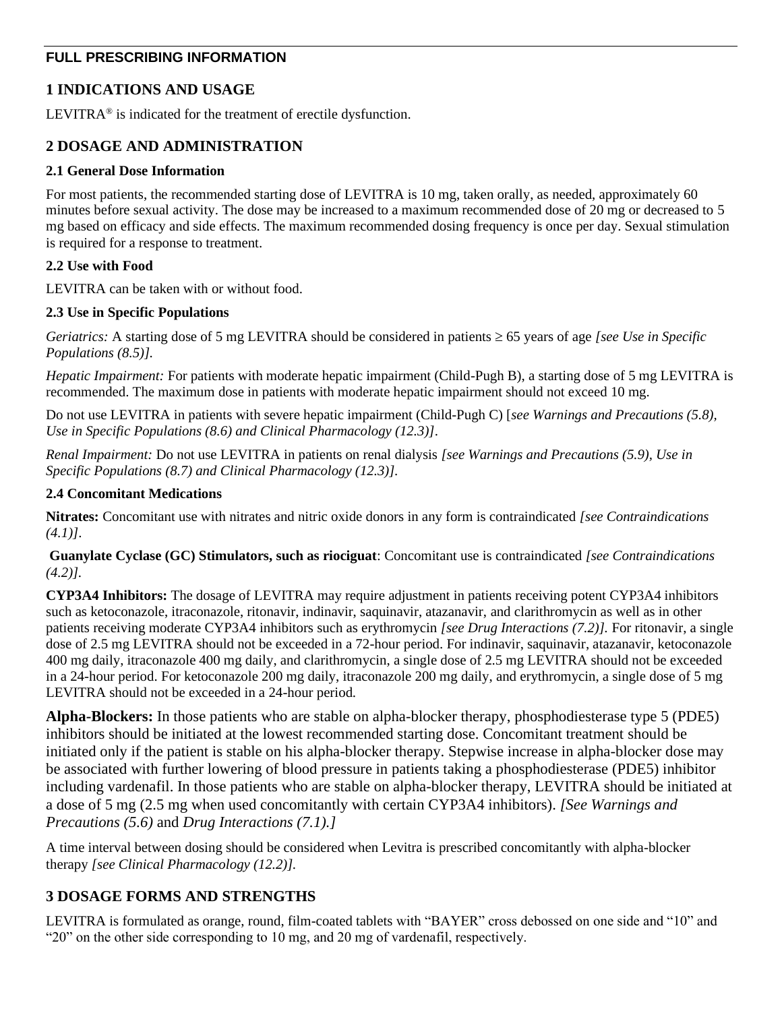# **FULL PRESCRIBING INFORMATION**

# **1 INDICATIONS AND USAGE**

LEVITRA<sup>®</sup> is indicated for the treatment of erectile dysfunction.

# **2 DOSAGE AND ADMINISTRATION**

## **2.1 General Dose Information**

For most patients, the recommended starting dose of LEVITRA is 10 mg, taken orally, as needed, approximately 60 minutes before sexual activity. The dose may be increased to a maximum recommended dose of 20 mg or decreased to 5 mg based on efficacy and side effects. The maximum recommended dosing frequency is once per day. Sexual stimulation is required for a response to treatment.

## **2.2 Use with Food**

LEVITRA can be taken with or without food.

## **2.3 Use in Specific Populations**

*Geriatrics:* A starting dose of 5 mg LEVITRA should be considered in patients  $\geq 65$  years of age *[see Use in Specific Populations (8.5)].*

*Hepatic Impairment:* For patients with moderate hepatic impairment (Child-Pugh B), a starting dose of 5 mg LEVITRA is recommended. The maximum dose in patients with moderate hepatic impairment should not exceed 10 mg.

Do not use LEVITRA in patients with severe hepatic impairment (Child-Pugh C) [*see Warnings and Precautions (5.8), Use in Specific Populations (8.6) and Clinical Pharmacology (12.3)]*.

*Renal Impairment:* Do not use LEVITRA in patients on renal dialysis *[see Warnings and Precautions (5.9), Use in Specific Populations (8.7) and Clinical Pharmacology (12.3)].*

### **2.4 Concomitant Medications**

**Nitrates:** Concomitant use with nitrates and nitric oxide donors in any form is contraindicated *[see Contraindications (4.1)]*.

**Guanylate Cyclase (GC) Stimulators, such as riociguat**: Concomitant use is contraindicated *[see Contraindications (4.2)].*

**CYP3A4 Inhibitors:** The dosage of LEVITRA may require adjustment in patients receiving potent CYP3A4 inhibitors such as ketoconazole, itraconazole, ritonavir, indinavir, saquinavir, atazanavir, and clarithromycin as well as in other patients receiving moderate CYP3A4 inhibitors such as erythromycin *[see Drug Interactions (7.2)].* For ritonavir, a single dose of 2.5 mg LEVITRA should not be exceeded in a 72-hour period. For indinavir, saquinavir, atazanavir, ketoconazole 400 mg daily, itraconazole 400 mg daily, and clarithromycin, a single dose of 2.5 mg LEVITRA should not be exceeded in a 24-hour period. For ketoconazole 200 mg daily, itraconazole 200 mg daily, and erythromycin, a single dose of 5 mg LEVITRA should not be exceeded in a 24-hour period.

**Alpha-Blockers:** In those patients who are stable on alpha-blocker therapy, phosphodiesterase type 5 (PDE5) inhibitors should be initiated at the lowest recommended starting dose. Concomitant treatment should be initiated only if the patient is stable on his alpha-blocker therapy. Stepwise increase in alpha-blocker dose may be associated with further lowering of blood pressure in patients taking a phosphodiesterase (PDE5) inhibitor including vardenafil. In those patients who are stable on alpha-blocker therapy, LEVITRA should be initiated at a dose of 5 mg (2.5 mg when used concomitantly with certain CYP3A4 inhibitors). *[See Warnings and Precautions (5.6)* and *Drug Interactions (7.1).]*

A time interval between dosing should be considered when Levitra is prescribed concomitantly with alpha-blocker therapy *[see Clinical Pharmacology (12.2)].*

# **3 DOSAGE FORMS AND STRENGTHS**

LEVITRA is formulated as orange, round, film-coated tablets with "BAYER" cross debossed on one side and "10" and "20" on the other side corresponding to 10 mg, and 20 mg of vardenafil, respectively.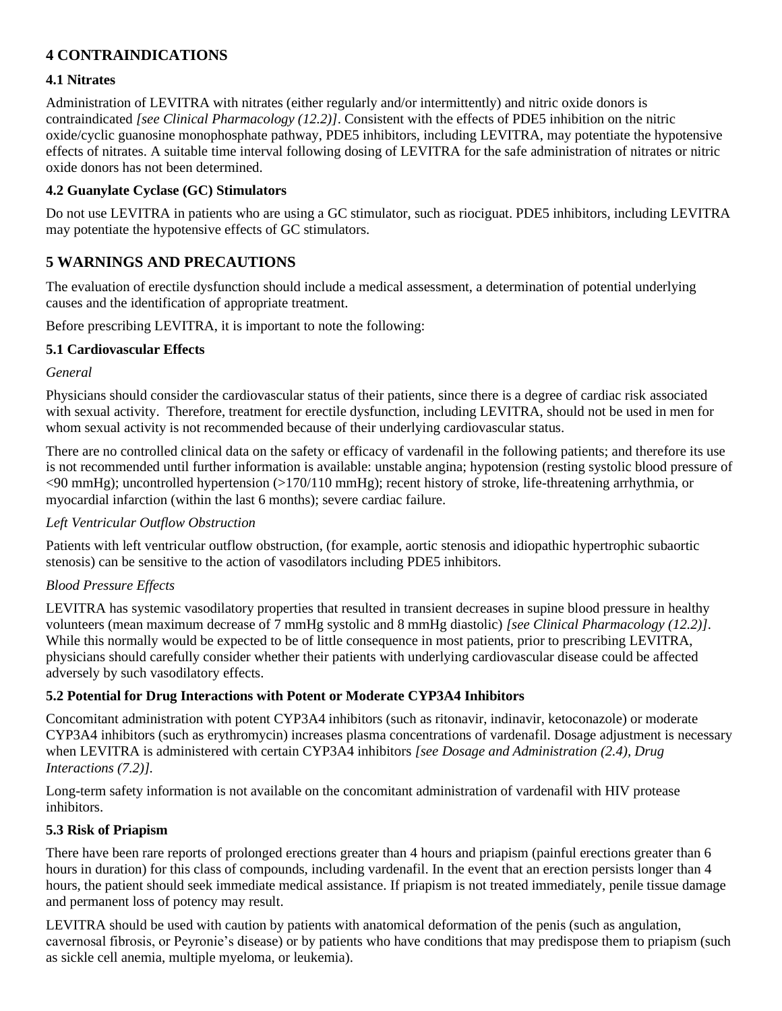# **4 CONTRAINDICATIONS**

### **4.1 Nitrates**

Administration of LEVITRA with nitrates (either regularly and/or intermittently) and nitric oxide donors is contraindicated *[see Clinical Pharmacology (12.2)]*. Consistent with the effects of PDE5 inhibition on the nitric oxide/cyclic guanosine monophosphate pathway, PDE5 inhibitors, including LEVITRA, may potentiate the hypotensive effects of nitrates. A suitable time interval following dosing of LEVITRA for the safe administration of nitrates or nitric oxide donors has not been determined.

### **4.2 Guanylate Cyclase (GC) Stimulators**

Do not use LEVITRA in patients who are using a GC stimulator, such as riociguat. PDE5 inhibitors, including LEVITRA may potentiate the hypotensive effects of GC stimulators.

# **5 WARNINGS AND PRECAUTIONS**

The evaluation of erectile dysfunction should include a medical assessment, a determination of potential underlying causes and the identification of appropriate treatment.

Before prescribing LEVITRA, it is important to note the following:

### **5.1 Cardiovascular Effects**

### *General*

Physicians should consider the cardiovascular status of their patients, since there is a degree of cardiac risk associated with sexual activity. Therefore, treatment for erectile dysfunction, including LEVITRA, should not be used in men for whom sexual activity is not recommended because of their underlying cardiovascular status.

There are no controlled clinical data on the safety or efficacy of vardenafil in the following patients; and therefore its use is not recommended until further information is available: unstable angina; hypotension (resting systolic blood pressure of <90 mmHg); uncontrolled hypertension (>170/110 mmHg); recent history of stroke, life-threatening arrhythmia, or myocardial infarction (within the last 6 months); severe cardiac failure.

## *Left Ventricular Outflow Obstruction*

Patients with left ventricular outflow obstruction, (for example, aortic stenosis and idiopathic hypertrophic subaortic stenosis) can be sensitive to the action of vasodilators including PDE5 inhibitors.

## *Blood Pressure Effects*

LEVITRA has systemic vasodilatory properties that resulted in transient decreases in supine blood pressure in healthy volunteers (mean maximum decrease of 7 mmHg systolic and 8 mmHg diastolic) *[see Clinical Pharmacology (12.2)]*. While this normally would be expected to be of little consequence in most patients, prior to prescribing LEVITRA, physicians should carefully consider whether their patients with underlying cardiovascular disease could be affected adversely by such vasodilatory effects.

### **5.2 Potential for Drug Interactions with Potent or Moderate CYP3A4 Inhibitors**

Concomitant administration with potent CYP3A4 inhibitors (such as ritonavir, indinavir, ketoconazole) or moderate CYP3A4 inhibitors (such as erythromycin) increases plasma concentrations of vardenafil. Dosage adjustment is necessary when LEVITRA is administered with certain CYP3A4 inhibitors *[see Dosage and Administration (2.4), Drug Interactions (7.2)].*

Long-term safety information is not available on the concomitant administration of vardenafil with HIV protease inhibitors.

### **5.3 Risk of Priapism**

There have been rare reports of prolonged erections greater than 4 hours and priapism (painful erections greater than 6 hours in duration) for this class of compounds, including vardenafil. In the event that an erection persists longer than 4 hours, the patient should seek immediate medical assistance. If priapism is not treated immediately, penile tissue damage and permanent loss of potency may result.

LEVITRA should be used with caution by patients with anatomical deformation of the penis (such as angulation, cavernosal fibrosis, or Peyronie's disease) or by patients who have conditions that may predispose them to priapism (such as sickle cell anemia, multiple myeloma, or leukemia).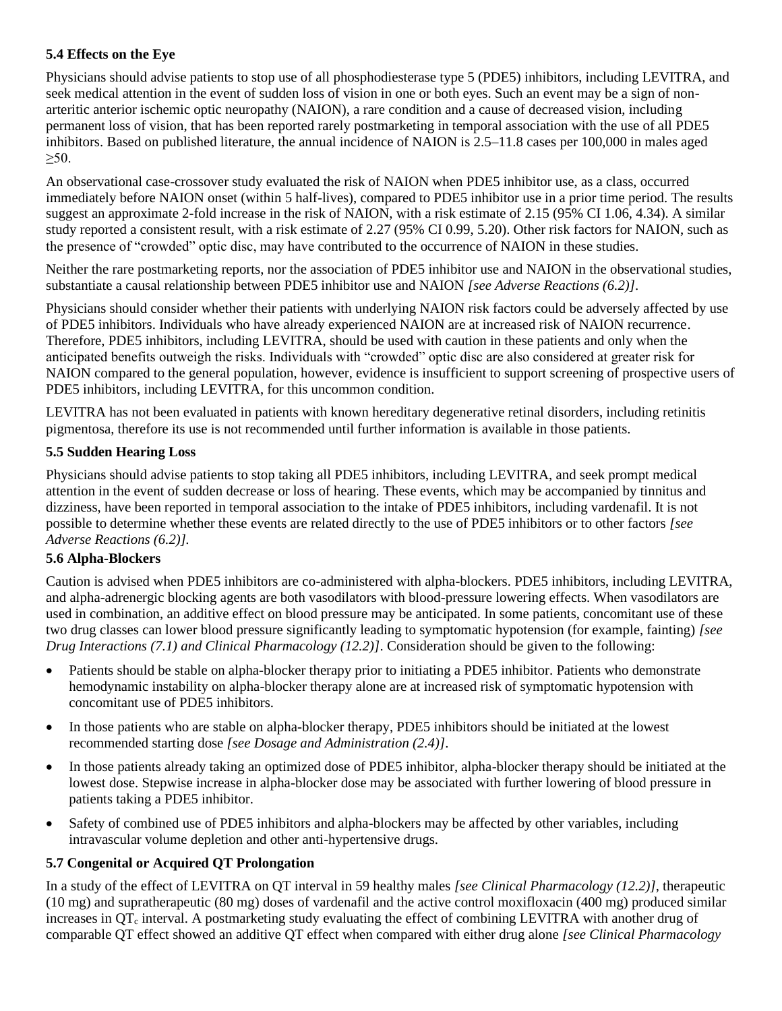# **5.4 Effects on the Eye**

Physicians should advise patients to stop use of all phosphodiesterase type 5 (PDE5) inhibitors, including LEVITRA, and seek medical attention in the event of sudden loss of vision in one or both eyes. Such an event may be a sign of nonarteritic anterior ischemic optic neuropathy (NAION), a rare condition and a cause of decreased vision, including permanent loss of vision, that has been reported rarely postmarketing in temporal association with the use of all PDE5 inhibitors. Based on published literature, the annual incidence of NAION is 2.5–11.8 cases per 100,000 in males aged  $>50$ .

An observational case-crossover study evaluated the risk of NAION when PDE5 inhibitor use, as a class, occurred immediately before NAION onset (within 5 half-lives), compared to PDE5 inhibitor use in a prior time period. The results suggest an approximate 2-fold increase in the risk of NAION, with a risk estimate of 2.15 (95% CI 1.06, 4.34). A similar study reported a consistent result, with a risk estimate of 2.27 (95% CI 0.99, 5.20). Other risk factors for NAION, such as the presence of "crowded" optic disc, may have contributed to the occurrence of NAION in these studies.

Neither the rare postmarketing reports, nor the association of PDE5 inhibitor use and NAION in the observational studies, substantiate a causal relationship between PDE5 inhibitor use and NAION *[see Adverse Reactions (6.2)]*.

Physicians should consider whether their patients with underlying NAION risk factors could be adversely affected by use of PDE5 inhibitors. Individuals who have already experienced NAION are at increased risk of NAION recurrence. Therefore, PDE5 inhibitors, including LEVITRA, should be used with caution in these patients and only when the anticipated benefits outweigh the risks. Individuals with "crowded" optic disc are also considered at greater risk for NAION compared to the general population, however, evidence is insufficient to support screening of prospective users of PDE5 inhibitors, including LEVITRA, for this uncommon condition.

LEVITRA has not been evaluated in patients with known hereditary degenerative retinal disorders, including retinitis pigmentosa, therefore its use is not recommended until further information is available in those patients.

# **5.5 Sudden Hearing Loss**

Physicians should advise patients to stop taking all PDE5 inhibitors, including LEVITRA, and seek prompt medical attention in the event of sudden decrease or loss of hearing. These events, which may be accompanied by tinnitus and dizziness, have been reported in temporal association to the intake of PDE5 inhibitors, including vardenafil. It is not possible to determine whether these events are related directly to the use of PDE5 inhibitors or to other factors *[see Adverse Reactions (6.2)].*

## **5.6 Alpha-Blockers**

Caution is advised when PDE5 inhibitors are co-administered with alpha-blockers. PDE5 inhibitors, including LEVITRA, and alpha-adrenergic blocking agents are both vasodilators with blood-pressure lowering effects. When vasodilators are used in combination, an additive effect on blood pressure may be anticipated. In some patients, concomitant use of these two drug classes can lower blood pressure significantly leading to symptomatic hypotension (for example, fainting) *[see Drug Interactions (7.1) and Clinical Pharmacology (12.2)]*. Consideration should be given to the following:

- Patients should be stable on alpha-blocker therapy prior to initiating a PDE5 inhibitor. Patients who demonstrate hemodynamic instability on alpha-blocker therapy alone are at increased risk of symptomatic hypotension with concomitant use of PDE5 inhibitors.
- In those patients who are stable on alpha-blocker therapy, PDE5 inhibitors should be initiated at the lowest recommended starting dose *[see Dosage and Administration (2.4)]*.
- In those patients already taking an optimized dose of PDE5 inhibitor, alpha-blocker therapy should be initiated at the lowest dose. Stepwise increase in alpha-blocker dose may be associated with further lowering of blood pressure in patients taking a PDE5 inhibitor.
- Safety of combined use of PDE5 inhibitors and alpha-blockers may be affected by other variables, including intravascular volume depletion and other anti-hypertensive drugs.

# **5.7 Congenital or Acquired QT Prolongation**

In a study of the effect of LEVITRA on QT interval in 59 healthy males *[see Clinical Pharmacology (12.2)]*, therapeutic (10 mg) and supratherapeutic (80 mg) doses of vardenafil and the active control moxifloxacin (400 mg) produced similar increases in  $OT_c$  interval. A postmarketing study evaluating the effect of combining LEVITRA with another drug of comparable QT effect showed an additive QT effect when compared with either drug alone *[see Clinical Pharmacology*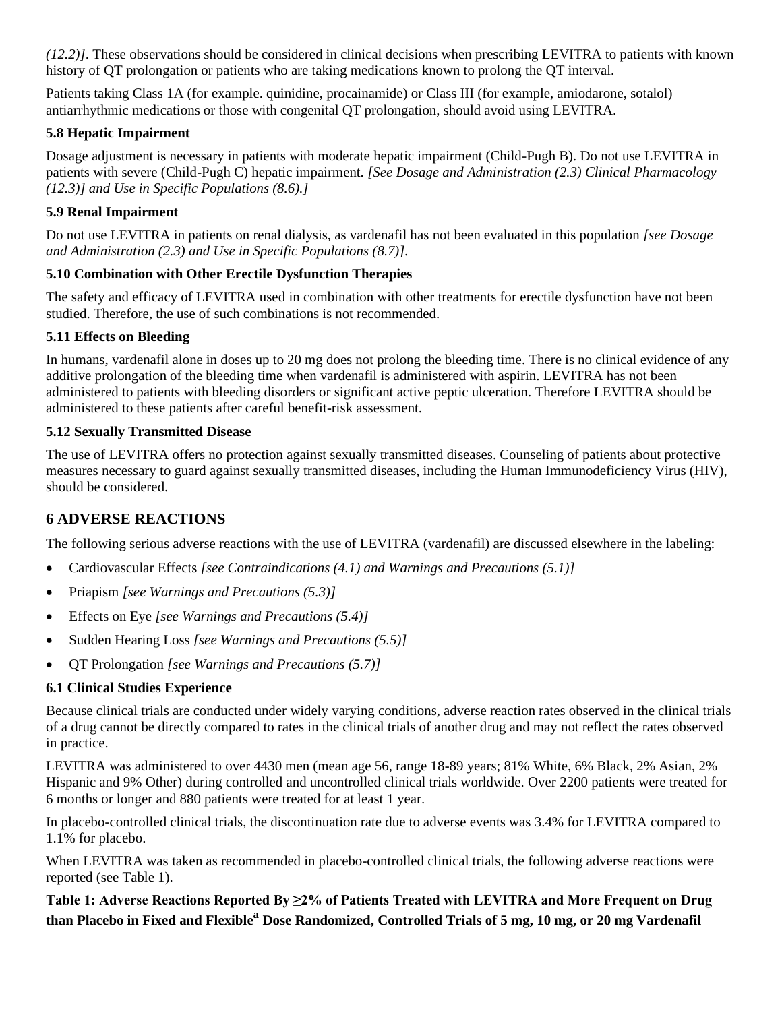*(12.2)]*. These observations should be considered in clinical decisions when prescribing LEVITRA to patients with known history of QT prolongation or patients who are taking medications known to prolong the QT interval.

Patients taking Class 1A (for example. quinidine, procainamide) or Class III (for example, amiodarone, sotalol) antiarrhythmic medications or those with congenital QT prolongation, should avoid using LEVITRA.

# **5.8 Hepatic Impairment**

Dosage adjustment is necessary in patients with moderate hepatic impairment (Child-Pugh B). Do not use LEVITRA in patients with severe (Child-Pugh C) hepatic impairment. *[See Dosage and Administration (2.3) Clinical Pharmacology (12.3)] and Use in Specific Populations (8.6).]*

# **5.9 Renal Impairment**

Do not use LEVITRA in patients on renal dialysis, as vardenafil has not been evaluated in this population *[see Dosage and Administration (2.3) and Use in Specific Populations (8.7)].*

# **5.10 Combination with Other Erectile Dysfunction Therapies**

The safety and efficacy of LEVITRA used in combination with other treatments for erectile dysfunction have not been studied. Therefore, the use of such combinations is not recommended.

# **5.11 Effects on Bleeding**

In humans, vardenafil alone in doses up to 20 mg does not prolong the bleeding time. There is no clinical evidence of any additive prolongation of the bleeding time when vardenafil is administered with aspirin. LEVITRA has not been administered to patients with bleeding disorders or significant active peptic ulceration. Therefore LEVITRA should be administered to these patients after careful benefit-risk assessment.

# **5.12 Sexually Transmitted Disease**

The use of LEVITRA offers no protection against sexually transmitted diseases. Counseling of patients about protective measures necessary to guard against sexually transmitted diseases, including the Human Immunodeficiency Virus (HIV), should be considered.

# **6 ADVERSE REACTIONS**

The following serious adverse reactions with the use of LEVITRA (vardenafil) are discussed elsewhere in the labeling:

- Cardiovascular Effects *[see Contraindications (4.1) and Warnings and Precautions (5.1)]*
- Priapism *[see Warnings and Precautions (5.3)]*
- Effects on Eye *[see Warnings and Precautions (5.4)]*
- Sudden Hearing Loss *[see Warnings and Precautions (5.5)]*
- QT Prolongation *[see Warnings and Precautions (5.7)]*

# **6.1 Clinical Studies Experience**

Because clinical trials are conducted under widely varying conditions, adverse reaction rates observed in the clinical trials of a drug cannot be directly compared to rates in the clinical trials of another drug and may not reflect the rates observed in practice.

LEVITRA was administered to over 4430 men (mean age 56, range 18-89 years; 81% White, 6% Black, 2% Asian, 2% Hispanic and 9% Other) during controlled and uncontrolled clinical trials worldwide. Over 2200 patients were treated for 6 months or longer and 880 patients were treated for at least 1 year.

In placebo-controlled clinical trials, the discontinuation rate due to adverse events was 3.4% for LEVITRA compared to 1.1% for placebo.

When LEVITRA was taken as recommended in placebo-controlled clinical trials, the following adverse reactions were reported (see Table 1).

**Table 1: Adverse Reactions Reported By ≥2% of Patients Treated with LEVITRA and More Frequent on Drug than Placebo in Fixed and Flexible <sup>a</sup> Dose Randomized, Controlled Trials of 5 mg, 10 mg, or 20 mg Vardenafil**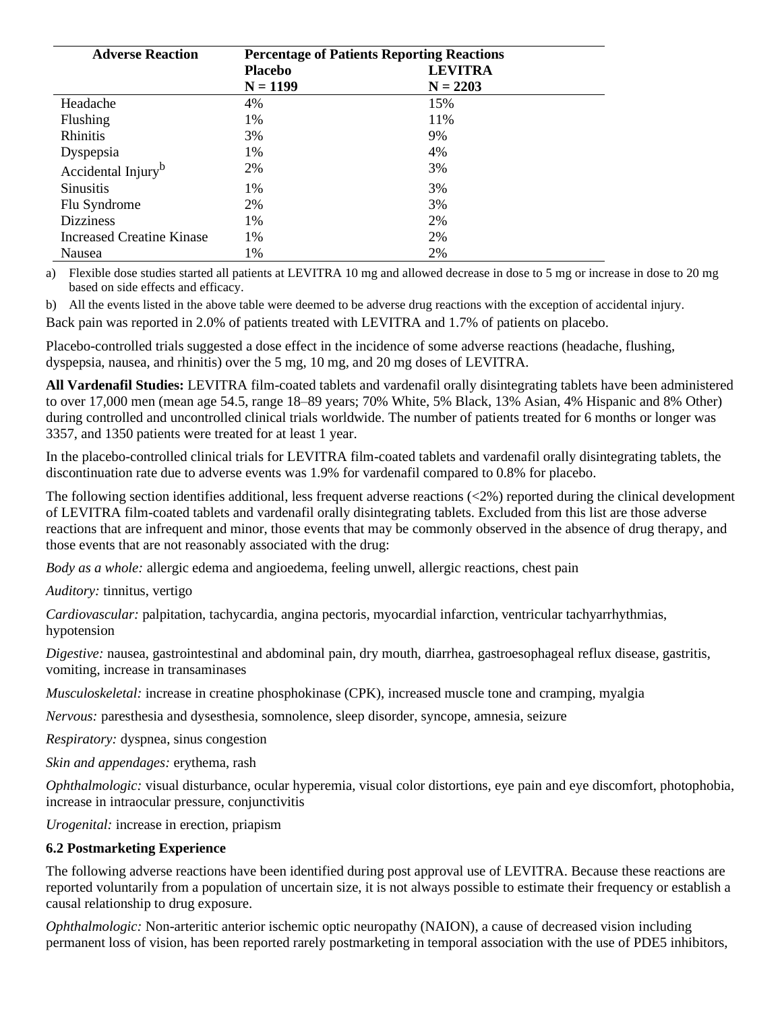| <b>Adverse Reaction</b>        | <b>Percentage of Patients Reporting Reactions</b> |                |  |
|--------------------------------|---------------------------------------------------|----------------|--|
|                                | <b>Placebo</b>                                    | <b>LEVITRA</b> |  |
|                                | $N = 1199$                                        | $N = 2203$     |  |
| Headache                       | 4%                                                | 15%            |  |
| Flushing                       | 1%                                                | 11\%           |  |
| <b>Rhinitis</b>                | 3%                                                | 9%             |  |
| Dyspepsia                      | $1\%$                                             | 4%             |  |
| Accidental Injury <sup>b</sup> | 2%                                                | 3%             |  |
| <b>Sinusitis</b>               | $1\%$                                             | 3%             |  |
| Flu Syndrome                   | 2%                                                | 3%             |  |
| <b>Dizziness</b>               | 1%                                                | 2%             |  |
| Increased Creatine Kinase      | 1%                                                | 2%             |  |
| Nausea                         | 1%                                                | 2%             |  |

a) Flexible dose studies started all patients at LEVITRA 10 mg and allowed decrease in dose to 5 mg or increase in dose to 20 mg based on side effects and efficacy.

b) All the events listed in the above table were deemed to be adverse drug reactions with the exception of accidental injury.

Back pain was reported in 2.0% of patients treated with LEVITRA and 1.7% of patients on placebo.

Placebo-controlled trials suggested a dose effect in the incidence of some adverse reactions (headache, flushing, dyspepsia, nausea, and rhinitis) over the 5 mg, 10 mg, and 20 mg doses of LEVITRA.

**All Vardenafil Studies:** LEVITRA film-coated tablets and vardenafil orally disintegrating tablets have been administered to over 17,000 men (mean age 54.5, range 18–89 years; 70% White, 5% Black, 13% Asian, 4% Hispanic and 8% Other) during controlled and uncontrolled clinical trials worldwide. The number of patients treated for 6 months or longer was 3357, and 1350 patients were treated for at least 1 year.

In the placebo-controlled clinical trials for LEVITRA film-coated tablets and vardenafil orally disintegrating tablets, the discontinuation rate due to adverse events was 1.9% for vardenafil compared to 0.8% for placebo.

The following section identifies additional, less frequent adverse reactions (<2%) reported during the clinical development of LEVITRA film-coated tablets and vardenafil orally disintegrating tablets. Excluded from this list are those adverse reactions that are infrequent and minor, those events that may be commonly observed in the absence of drug therapy, and those events that are not reasonably associated with the drug:

*Body as a whole:* allergic edema and angioedema, feeling unwell, allergic reactions, chest pain

*Auditory:* tinnitus, vertigo

*Cardiovascular:* palpitation, tachycardia, angina pectoris, myocardial infarction, ventricular tachyarrhythmias, hypotension

*Digestive:* nausea, gastrointestinal and abdominal pain, dry mouth, diarrhea, gastroesophageal reflux disease, gastritis, vomiting, increase in transaminases

*Musculoskeletal:* increase in creatine phosphokinase (CPK), increased muscle tone and cramping, myalgia

*Nervous:* paresthesia and dysesthesia, somnolence, sleep disorder, syncope, amnesia, seizure

*Respiratory:* dyspnea, sinus congestion

*Skin and appendages:* erythema, rash

*Ophthalmologic:* visual disturbance, ocular hyperemia, visual color distortions, eye pain and eye discomfort, photophobia, increase in intraocular pressure, conjunctivitis

*Urogenital:* increase in erection, priapism

### **6.2 Postmarketing Experience**

The following adverse reactions have been identified during post approval use of LEVITRA. Because these reactions are reported voluntarily from a population of uncertain size, it is not always possible to estimate their frequency or establish a causal relationship to drug exposure.

*Ophthalmologic:* Non-arteritic anterior ischemic optic neuropathy (NAION), a cause of decreased vision including permanent loss of vision, has been reported rarely postmarketing in temporal association with the use of PDE5 inhibitors,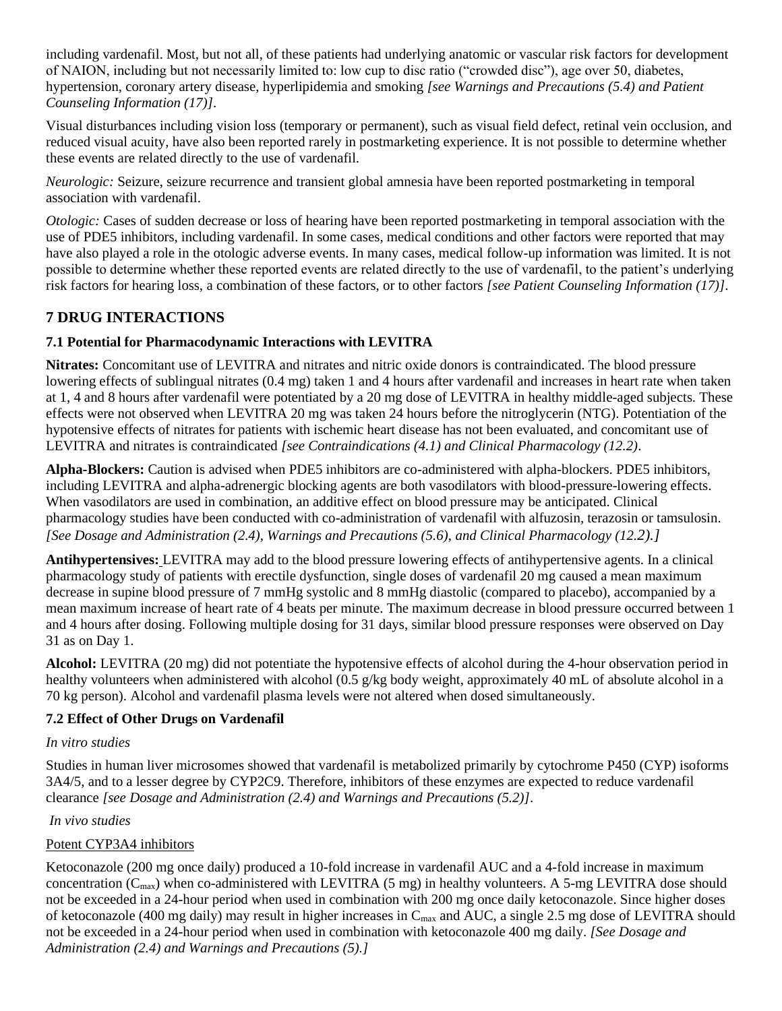including vardenafil. Most, but not all, of these patients had underlying anatomic or vascular risk factors for development of NAION, including but not necessarily limited to: low cup to disc ratio ("crowded disc"), age over 50, diabetes, hypertension, coronary artery disease, hyperlipidemia and smoking *[see Warnings and Precautions (5.4) and Patient Counseling Information (17)]*.

Visual disturbances including vision loss (temporary or permanent), such as visual field defect, retinal vein occlusion, and reduced visual acuity, have also been reported rarely in postmarketing experience. It is not possible to determine whether these events are related directly to the use of vardenafil.

*Neurologic:* Seizure, seizure recurrence and transient global amnesia have been reported postmarketing in temporal association with vardenafil.

*Otologic:* Cases of sudden decrease or loss of hearing have been reported postmarketing in temporal association with the use of PDE5 inhibitors, including vardenafil. In some cases, medical conditions and other factors were reported that may have also played a role in the otologic adverse events. In many cases, medical follow-up information was limited. It is not possible to determine whether these reported events are related directly to the use of vardenafil, to the patient's underlying risk factors for hearing loss, a combination of these factors, or to other factors *[see Patient Counseling Information (17)]*.

# **7 DRUG INTERACTIONS**

# **7.1 Potential for Pharmacodynamic Interactions with LEVITRA**

**Nitrates:** Concomitant use of LEVITRA and nitrates and nitric oxide donors is contraindicated. The blood pressure lowering effects of sublingual nitrates (0.4 mg) taken 1 and 4 hours after vardenafil and increases in heart rate when taken at 1, 4 and 8 hours after vardenafil were potentiated by a 20 mg dose of LEVITRA in healthy middle-aged subjects. These effects were not observed when LEVITRA 20 mg was taken 24 hours before the nitroglycerin (NTG). Potentiation of the hypotensive effects of nitrates for patients with ischemic heart disease has not been evaluated, and concomitant use of LEVITRA and nitrates is contraindicated *[see Contraindications (4.1) and Clinical Pharmacology (12.2)*.

**Alpha-Blockers:** Caution is advised when PDE5 inhibitors are co-administered with alpha-blockers. PDE5 inhibitors, including LEVITRA and alpha-adrenergic blocking agents are both vasodilators with blood-pressure-lowering effects. When vasodilators are used in combination, an additive effect on blood pressure may be anticipated. Clinical pharmacology studies have been conducted with co-administration of vardenafil with alfuzosin, terazosin or tamsulosin. *[See Dosage and Administration (2.4), Warnings and Precautions (5.6), and Clinical Pharmacology (12.2).]*

**Antihypertensives:** LEVITRA may add to the blood pressure lowering effects of antihypertensive agents. In a clinical pharmacology study of patients with erectile dysfunction, single doses of vardenafil 20 mg caused a mean maximum decrease in supine blood pressure of 7 mmHg systolic and 8 mmHg diastolic (compared to placebo), accompanied by a mean maximum increase of heart rate of 4 beats per minute. The maximum decrease in blood pressure occurred between 1 and 4 hours after dosing. Following multiple dosing for 31 days, similar blood pressure responses were observed on Day 31 as on Day 1.

**Alcohol:** LEVITRA (20 mg) did not potentiate the hypotensive effects of alcohol during the 4-hour observation period in healthy volunteers when administered with alcohol (0.5 g/kg body weight, approximately 40 mL of absolute alcohol in a 70 kg person). Alcohol and vardenafil plasma levels were not altered when dosed simultaneously.

# **7.2 Effect of Other Drugs on Vardenafil**

# *In vitro studies*

Studies in human liver microsomes showed that vardenafil is metabolized primarily by cytochrome P450 (CYP) isoforms 3A4/5, and to a lesser degree by CYP2C9. Therefore, inhibitors of these enzymes are expected to reduce vardenafil clearance *[see Dosage and Administration (2.4) and Warnings and Precautions (5.2)]*.

# *In vivo studies*

# Potent CYP3A4 inhibitors

Ketoconazole (200 mg once daily) produced a 10-fold increase in vardenafil AUC and a 4-fold increase in maximum concentration ( $C_{\text{max}}$ ) when co-administered with LEVITRA (5 mg) in healthy volunteers. A 5-mg LEVITRA dose should not be exceeded in a 24-hour period when used in combination with 200 mg once daily ketoconazole. Since higher doses of ketoconazole (400 mg daily) may result in higher increases in  $C_{\text{max}}$  and AUC, a single 2.5 mg dose of LEVITRA should not be exceeded in a 24-hour period when used in combination with ketoconazole 400 mg daily. *[See Dosage and Administration (2.4) and Warnings and Precautions (5).]*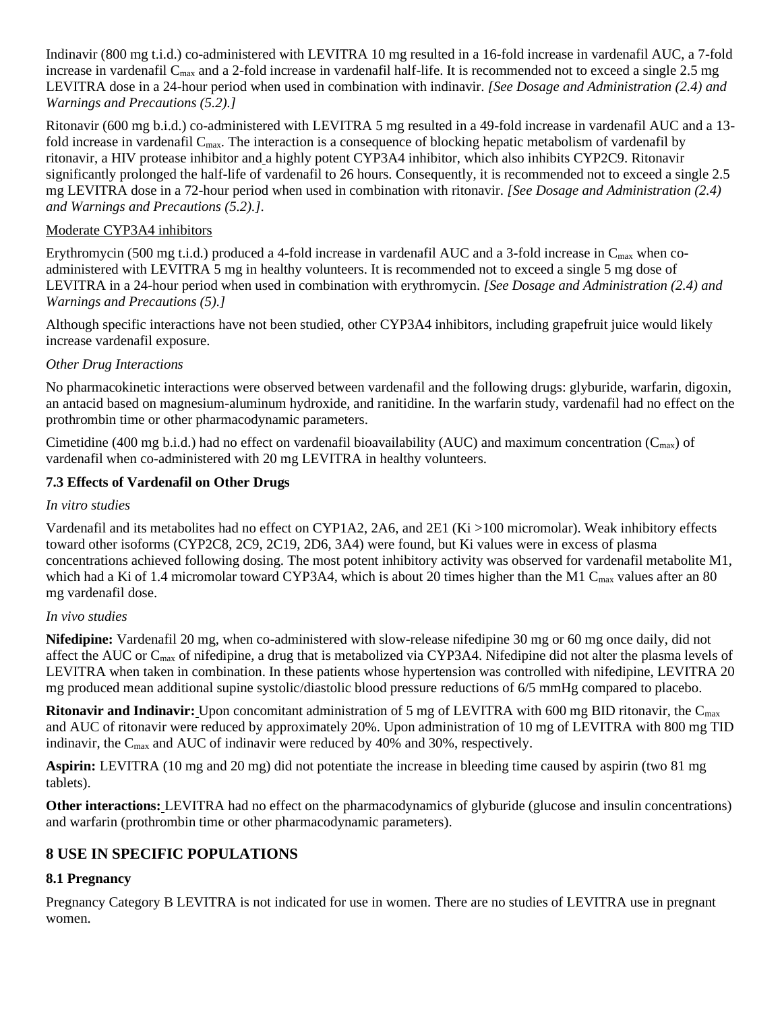Indinavir (800 mg t.i.d.) co-administered with LEVITRA 10 mg resulted in a 16-fold increase in vardenafil AUC, a 7-fold increase in vardenafil C<sub>max</sub> and a 2-fold increase in vardenafil half-life. It is recommended not to exceed a single 2.5 mg LEVITRA dose in a 24-hour period when used in combination with indinavir. *[See Dosage and Administration (2.4) and Warnings and Precautions (5.2).]*

Ritonavir (600 mg b.i.d.) co-administered with LEVITRA 5 mg resulted in a 49-fold increase in vardenafil AUC and a 13 fold increase in vardenafil C<sub>max</sub>. The interaction is a consequence of blocking hepatic metabolism of vardenafil by ritonavir, a HIV protease inhibitor and a highly potent CYP3A4 inhibitor, which also inhibits CYP2C9. Ritonavir significantly prolonged the half-life of vardenafil to 26 hours. Consequently, it is recommended not to exceed a single 2.5 mg LEVITRA dose in a 72-hour period when used in combination with ritonavir. *[See Dosage and Administration (2.4) and Warnings and Precautions (5.2).]*.

## Moderate CYP3A4 inhibitors

Erythromycin (500 mg t.i.d.) produced a 4-fold increase in vardenafil AUC and a 3-fold increase in  $C_{\text{max}}$  when coadministered with LEVITRA 5 mg in healthy volunteers. It is recommended not to exceed a single 5 mg dose of LEVITRA in a 24-hour period when used in combination with erythromycin. *[See Dosage and Administration (2.4) and Warnings and Precautions (5).]*

Although specific interactions have not been studied, other CYP3A4 inhibitors, including grapefruit juice would likely increase vardenafil exposure.

### *Other Drug Interactions*

No pharmacokinetic interactions were observed between vardenafil and the following drugs: glyburide, warfarin, digoxin, an antacid based on magnesium-aluminum hydroxide, and ranitidine. In the warfarin study, vardenafil had no effect on the prothrombin time or other pharmacodynamic parameters.

Cimetidine (400 mg b.i.d.) had no effect on vardenafil bioavailability (AUC) and maximum concentration ( $C_{\text{max}}$ ) of vardenafil when co-administered with 20 mg LEVITRA in healthy volunteers.

### **7.3 Effects of Vardenafil on Other Drugs**

### *In vitro studies*

Vardenafil and its metabolites had no effect on CYP1A2, 2A6, and 2E1 (Ki >100 micromolar). Weak inhibitory effects toward other isoforms (CYP2C8, 2C9, 2C19, 2D6, 3A4) were found, but Ki values were in excess of plasma concentrations achieved following dosing. The most potent inhibitory activity was observed for vardenafil metabolite M1, which had a Ki of 1.4 micromolar toward CYP3A4, which is about 20 times higher than the M1 C<sub>max</sub> values after an 80 mg vardenafil dose.

### *In vivo studies*

**Nifedipine:** Vardenafil 20 mg, when co-administered with slow-release nifedipine 30 mg or 60 mg once daily, did not affect the AUC or Cmax of nifedipine, a drug that is metabolized via CYP3A4. Nifedipine did not alter the plasma levels of LEVITRA when taken in combination. In these patients whose hypertension was controlled with nifedipine, LEVITRA 20 mg produced mean additional supine systolic/diastolic blood pressure reductions of 6/5 mmHg compared to placebo.

**Ritonavir and Indinavir:** Upon concomitant administration of 5 mg of LEVITRA with 600 mg BID ritonavir, the Cmax and AUC of ritonavir were reduced by approximately 20%. Upon administration of 10 mg of LEVITRA with 800 mg TID indinavir, the C<sub>max</sub> and AUC of indinavir were reduced by 40% and 30%, respectively.

**Aspirin:** LEVITRA (10 mg and 20 mg) did not potentiate the increase in bleeding time caused by aspirin (two 81 mg tablets).

**Other interactions:** LEVITRA had no effect on the pharmacodynamics of glyburide (glucose and insulin concentrations) and warfarin (prothrombin time or other pharmacodynamic parameters).

# **8 USE IN SPECIFIC POPULATIONS**

## **8.1 Pregnancy**

Pregnancy Category B LEVITRA is not indicated for use in women. There are no studies of LEVITRA use in pregnant women.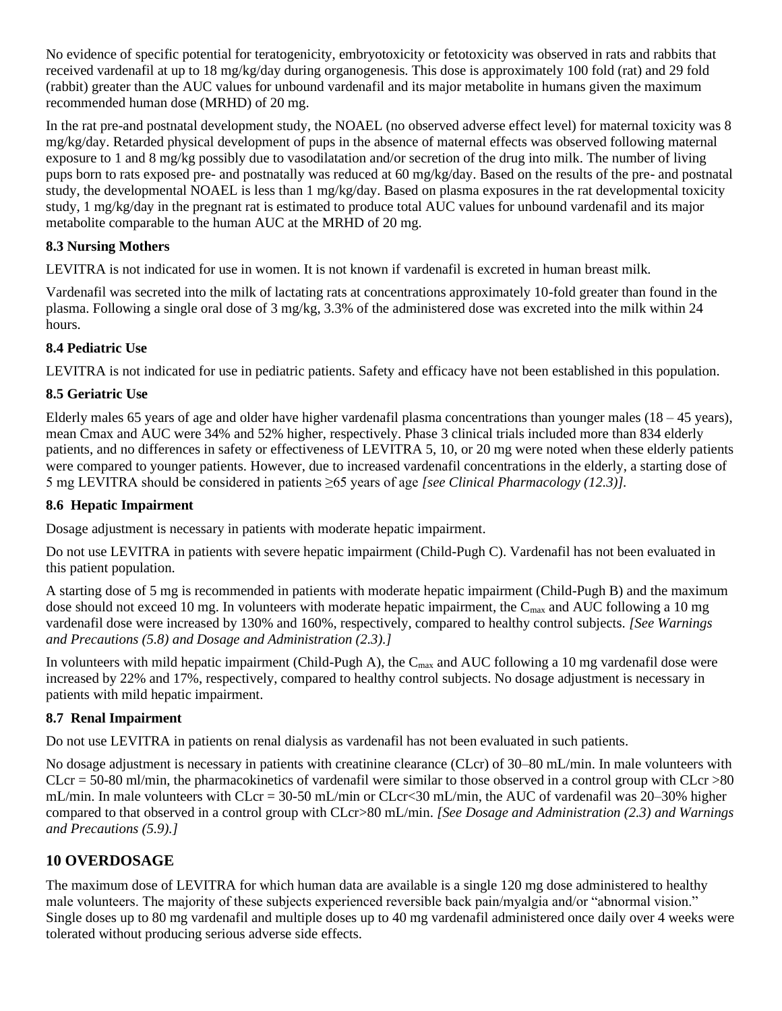No evidence of specific potential for teratogenicity, embryotoxicity or fetotoxicity was observed in rats and rabbits that received vardenafil at up to 18 mg/kg/day during organogenesis. This dose is approximately 100 fold (rat) and 29 fold (rabbit) greater than the AUC values for unbound vardenafil and its major metabolite in humans given the maximum recommended human dose (MRHD) of 20 mg.

In the rat pre-and postnatal development study, the NOAEL (no observed adverse effect level) for maternal toxicity was 8 mg/kg/day. Retarded physical development of pups in the absence of maternal effects was observed following maternal exposure to 1 and 8 mg/kg possibly due to vasodilatation and/or secretion of the drug into milk. The number of living pups born to rats exposed pre- and postnatally was reduced at 60 mg/kg/day. Based on the results of the pre- and postnatal study, the developmental NOAEL is less than 1 mg/kg/day. Based on plasma exposures in the rat developmental toxicity study, 1 mg/kg/day in the pregnant rat is estimated to produce total AUC values for unbound vardenafil and its major metabolite comparable to the human AUC at the MRHD of 20 mg.

# **8.3 Nursing Mothers**

LEVITRA is not indicated for use in women. It is not known if vardenafil is excreted in human breast milk*.*

Vardenafil was secreted into the milk of lactating rats at concentrations approximately 10-fold greater than found in the plasma. Following a single oral dose of 3 mg/kg, 3.3% of the administered dose was excreted into the milk within 24 hours.

# **8.4 Pediatric Use**

LEVITRA is not indicated for use in pediatric patients. Safety and efficacy have not been established in this population.

# **8.5 Geriatric Use**

Elderly males 65 years of age and older have higher vardenafil plasma concentrations than younger males  $(18 - 45$  years), mean Cmax and AUC were 34% and 52% higher, respectively. Phase 3 clinical trials included more than 834 elderly patients, and no differences in safety or effectiveness of LEVITRA 5, 10, or 20 mg were noted when these elderly patients were compared to younger patients. However, due to increased vardenafil concentrations in the elderly, a starting dose of 5 mg LEVITRA should be considered in patients ≥65 years of age *[see Clinical Pharmacology (12.3)].*

## **8.6 Hepatic Impairment**

Dosage adjustment is necessary in patients with moderate hepatic impairment.

Do not use LEVITRA in patients with severe hepatic impairment (Child-Pugh C). Vardenafil has not been evaluated in this patient population.

A starting dose of 5 mg is recommended in patients with moderate hepatic impairment (Child-Pugh B) and the maximum dose should not exceed 10 mg. In volunteers with moderate hepatic impairment, the  $C_{\text{max}}$  and AUC following a 10 mg vardenafil dose were increased by 130% and 160%, respectively, compared to healthy control subjects. *[See Warnings and Precautions (5.8) and Dosage and Administration (2.3).]*

In volunteers with mild hepatic impairment (Child-Pugh A), the  $C_{\text{max}}$  and AUC following a 10 mg vardenafil dose were increased by 22% and 17%, respectively, compared to healthy control subjects. No dosage adjustment is necessary in patients with mild hepatic impairment.

# **8.7 Renal Impairment**

Do not use LEVITRA in patients on renal dialysis as vardenafil has not been evaluated in such patients.

No dosage adjustment is necessary in patients with creatinine clearance (CLcr) of 30–80 mL/min. In male volunteers with  $CLcr = 50-80$  ml/min, the pharmacokinetics of vardenafil were similar to those observed in a control group with  $CLcr > 80$ mL/min. In male volunteers with CLcr = 30-50 mL/min or CLcr<30 mL/min, the AUC of vardenafil was 20–30% higher compared to that observed in a control group with CLcr>80 mL/min. *[See Dosage and Administration (2.3) and Warnings and Precautions (5.9).]*

# **10 OVERDOSAGE**

The maximum dose of LEVITRA for which human data are available is a single 120 mg dose administered to healthy male volunteers. The majority of these subjects experienced reversible back pain/myalgia and/or "abnormal vision." Single doses up to 80 mg vardenafil and multiple doses up to 40 mg vardenafil administered once daily over 4 weeks were tolerated without producing serious adverse side effects.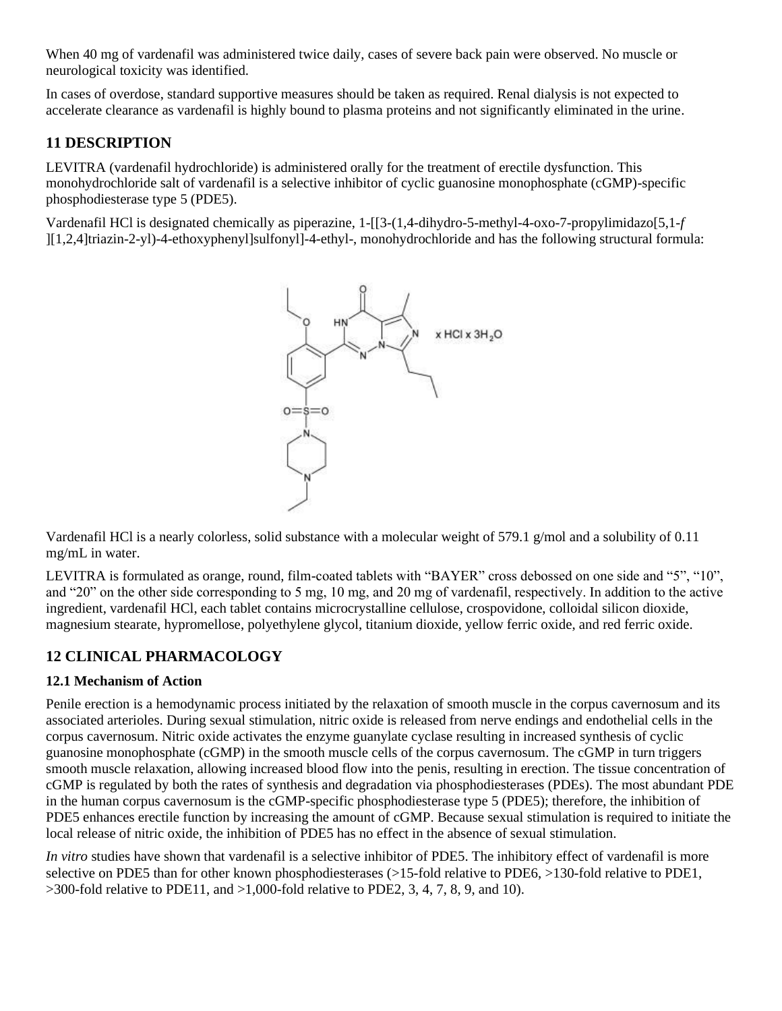When 40 mg of vardenafil was administered twice daily, cases of severe back pain were observed. No muscle or neurological toxicity was identified.

In cases of overdose, standard supportive measures should be taken as required. Renal dialysis is not expected to accelerate clearance as vardenafil is highly bound to plasma proteins and not significantly eliminated in the urine.

# **11 DESCRIPTION**

LEVITRA (vardenafil hydrochloride) is administered orally for the treatment of erectile dysfunction. This monohydrochloride salt of vardenafil is a selective inhibitor of cyclic guanosine monophosphate (cGMP)-specific phosphodiesterase type 5 (PDE5).

Vardenafil HCl is designated chemically as piperazine, 1-[[3-(1,4-dihydro-5-methyl-4-oxo-7-propylimidazo[5,1-*f*  ][1,2,4]triazin-2-yl)-4-ethoxyphenyl]sulfonyl]-4-ethyl-, monohydrochloride and has the following structural formula:



Vardenafil HCl is a nearly colorless, solid substance with a molecular weight of 579.1 g/mol and a solubility of 0.11 mg/mL in water.

LEVITRA is formulated as orange, round, film-coated tablets with "BAYER" cross debossed on one side and "5", "10", and "20" on the other side corresponding to 5 mg, 10 mg, and 20 mg of vardenafil, respectively. In addition to the active ingredient, vardenafil HCl, each tablet contains microcrystalline cellulose, crospovidone, colloidal silicon dioxide, magnesium stearate, hypromellose, polyethylene glycol, titanium dioxide, yellow ferric oxide, and red ferric oxide.

# **12 CLINICAL PHARMACOLOGY**

## **12.1 Mechanism of Action**

Penile erection is a hemodynamic process initiated by the relaxation of smooth muscle in the corpus cavernosum and its associated arterioles. During sexual stimulation, nitric oxide is released from nerve endings and endothelial cells in the corpus cavernosum. Nitric oxide activates the enzyme guanylate cyclase resulting in increased synthesis of cyclic guanosine monophosphate (cGMP) in the smooth muscle cells of the corpus cavernosum. The cGMP in turn triggers smooth muscle relaxation, allowing increased blood flow into the penis, resulting in erection. The tissue concentration of cGMP is regulated by both the rates of synthesis and degradation via phosphodiesterases (PDEs). The most abundant PDE in the human corpus cavernosum is the cGMP-specific phosphodiesterase type 5 (PDE5); therefore, the inhibition of PDE5 enhances erectile function by increasing the amount of cGMP. Because sexual stimulation is required to initiate the local release of nitric oxide, the inhibition of PDE5 has no effect in the absence of sexual stimulation.

*In vitro* studies have shown that vardenafil is a selective inhibitor of PDE5. The inhibitory effect of vardenafil is more selective on PDE5 than for other known phosphodiesterases (>15-fold relative to PDE6, >130-fold relative to PDE1,  $>$ 300-fold relative to PDE11, and  $>$ 1,000-fold relative to PDE2, 3, 4, 7, 8, 9, and 10).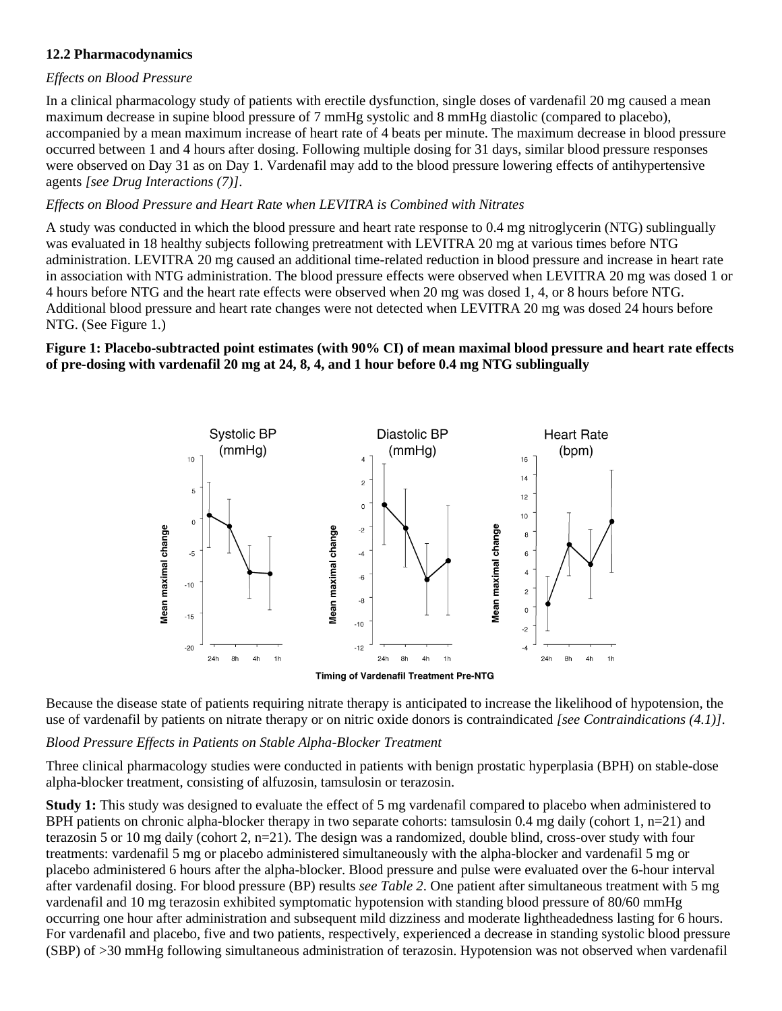## **12.2 Pharmacodynamics**

### *Effects on Blood Pressure*

In a clinical pharmacology study of patients with erectile dysfunction, single doses of vardenafil 20 mg caused a mean maximum decrease in supine blood pressure of 7 mmHg systolic and 8 mmHg diastolic (compared to placebo), accompanied by a mean maximum increase of heart rate of 4 beats per minute. The maximum decrease in blood pressure occurred between 1 and 4 hours after dosing. Following multiple dosing for 31 days, similar blood pressure responses were observed on Day 31 as on Day 1. Vardenafil may add to the blood pressure lowering effects of antihypertensive agents *[see Drug Interactions (7)]*.

### *Effects on Blood Pressure and Heart Rate when LEVITRA is Combined with Nitrates*

A study was conducted in which the blood pressure and heart rate response to 0.4 mg nitroglycerin (NTG) sublingually was evaluated in 18 healthy subjects following pretreatment with LEVITRA 20 mg at various times before NTG administration. LEVITRA 20 mg caused an additional time-related reduction in blood pressure and increase in heart rate in association with NTG administration. The blood pressure effects were observed when LEVITRA 20 mg was dosed 1 or 4 hours before NTG and the heart rate effects were observed when 20 mg was dosed 1, 4, or 8 hours before NTG. Additional blood pressure and heart rate changes were not detected when LEVITRA 20 mg was dosed 24 hours before NTG. (See Figure 1.)

### **Figure 1: Placebo-subtracted point estimates (with 90% CI) of mean maximal blood pressure and heart rate effects of pre-dosing with vardenafil 20 mg at 24, 8, 4, and 1 hour before 0.4 mg NTG sublingually**



Because the disease state of patients requiring nitrate therapy is anticipated to increase the likelihood of hypotension, the use of vardenafil by patients on nitrate therapy or on nitric oxide donors is contraindicated *[see Contraindications (4.1)]*.

### *Blood Pressure Effects in Patients on Stable Alpha-Blocker Treatment*

Three clinical pharmacology studies were conducted in patients with benign prostatic hyperplasia (BPH) on stable-dose alpha-blocker treatment, consisting of alfuzosin, tamsulosin or terazosin.

**Study 1:** This study was designed to evaluate the effect of 5 mg vardenafil compared to placebo when administered to BPH patients on chronic alpha-blocker therapy in two separate cohorts: tamsulosin 0.4 mg daily (cohort 1, n=21) and terazosin 5 or 10 mg daily (cohort 2, n=21). The design was a randomized, double blind, cross-over study with four treatments: vardenafil 5 mg or placebo administered simultaneously with the alpha-blocker and vardenafil 5 mg or placebo administered 6 hours after the alpha-blocker. Blood pressure and pulse were evaluated over the 6-hour interval after vardenafil dosing. For blood pressure (BP) results *see Table 2*. One patient after simultaneous treatment with 5 mg vardenafil and 10 mg terazosin exhibited symptomatic hypotension with standing blood pressure of 80/60 mmHg occurring one hour after administration and subsequent mild dizziness and moderate lightheadedness lasting for 6 hours. For vardenafil and placebo, five and two patients, respectively, experienced a decrease in standing systolic blood pressure (SBP) of >30 mmHg following simultaneous administration of terazosin. Hypotension was not observed when vardenafil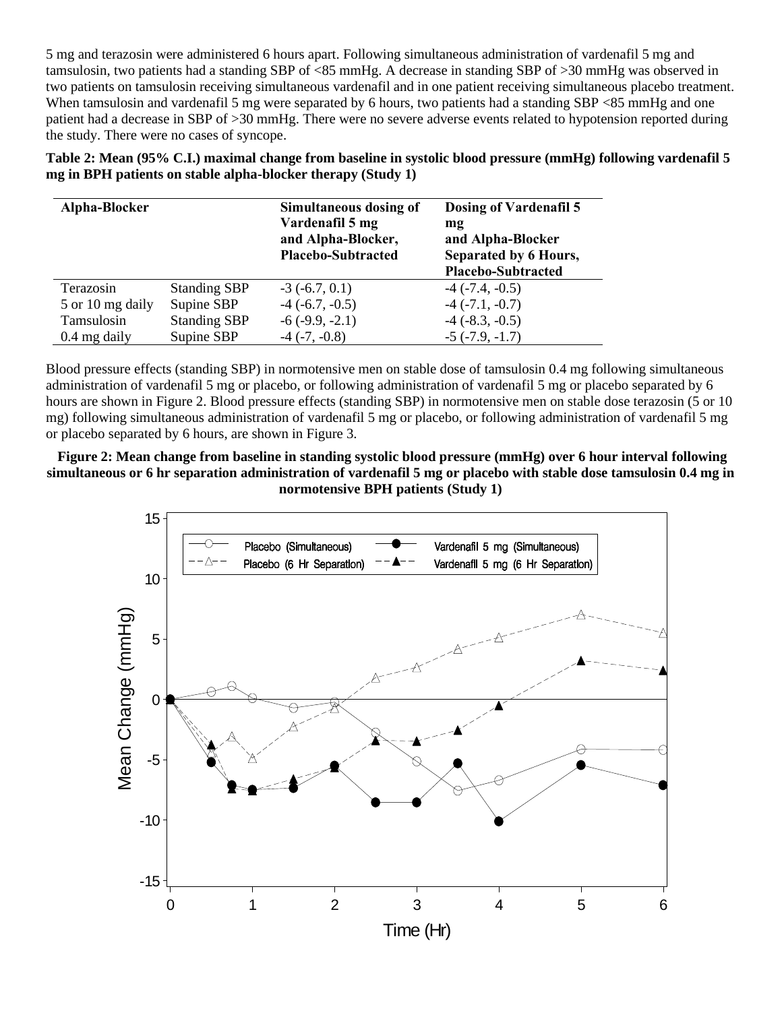5 mg and terazosin were administered 6 hours apart. Following simultaneous administration of vardenafil 5 mg and tamsulosin, two patients had a standing SBP of <85 mmHg. A decrease in standing SBP of >30 mmHg was observed in two patients on tamsulosin receiving simultaneous vardenafil and in one patient receiving simultaneous placebo treatment. When tamsulosin and vardenafil 5 mg were separated by 6 hours, two patients had a standing SBP <85 mmHg and one patient had a decrease in SBP of >30 mmHg. There were no severe adverse events related to hypotension reported during the study. There were no cases of syncope.

**Table 2: Mean (95% C.I.) maximal change from baseline in systolic blood pressure (mmHg) following vardenafil 5 mg in BPH patients on stable alpha-blocker therapy (Study 1)** 

| Alpha-Blocker    |                     | Simultaneous dosing of<br>Vardenafil 5 mg<br>and Alpha-Blocker,<br><b>Placebo-Subtracted</b> | Dosing of Vardenafil 5<br>mg<br>and Alpha-Blocker<br>Separated by 6 Hours,<br><b>Placebo-Subtracted</b> |
|------------------|---------------------|----------------------------------------------------------------------------------------------|---------------------------------------------------------------------------------------------------------|
| Terazosin        | <b>Standing SBP</b> | $-3(-6.7, 0.1)$                                                                              | $-4$ ( $-7.4$ , $-0.5$ )                                                                                |
| 5 or 10 mg daily | Supine SBP          | $-4$ $(-6.7, -0.5)$                                                                          | $-4$ ( $-7.1, -0.7$ )                                                                                   |
| Tamsulosin       | <b>Standing SBP</b> | $-6(-9.9, -2.1)$                                                                             | $-4$ ( $-8.3, -0.5$ )                                                                                   |
| $0.4$ mg daily   | Supine SBP          | $-4$ $(-7, -0.8)$                                                                            | $-5$ $(-7.9, -1.7)$                                                                                     |

Blood pressure effects (standing SBP) in normotensive men on stable dose of tamsulosin 0.4 mg following simultaneous administration of vardenafil 5 mg or placebo, or following administration of vardenafil 5 mg or placebo separated by 6 hours are shown in Figure 2. Blood pressure effects (standing SBP) in normotensive men on stable dose terazosin (5 or 10 mg) following simultaneous administration of vardenafil 5 mg or placebo, or following administration of vardenafil 5 mg or placebo separated by 6 hours, are shown in Figure 3.

**Figure 2: Mean change from baseline in standing systolic blood pressure (mmHg) over 6 hour interval following simultaneous or 6 hr separation administration of vardenafil 5 mg or placebo with stable dose tamsulosin 0.4 mg in normotensive BPH patients (Study 1)** 

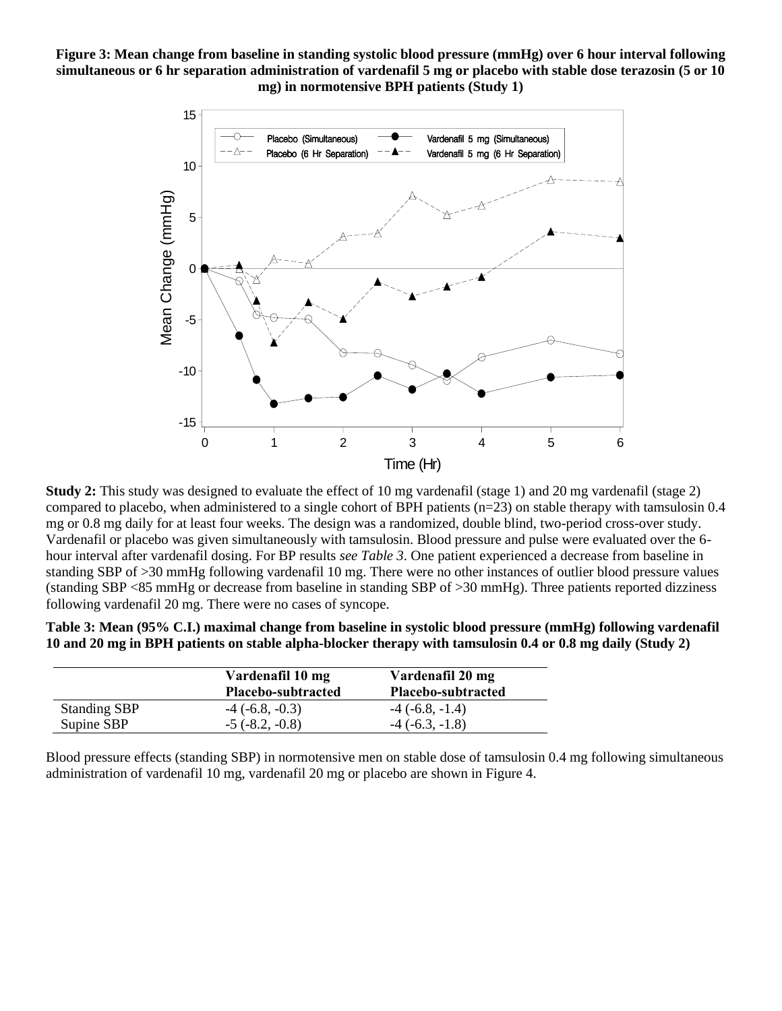**Figure 3: Mean change from baseline in standing systolic blood pressure (mmHg) over 6 hour interval following simultaneous or 6 hr separation administration of vardenafil 5 mg or placebo with stable dose terazosin (5 or 10 mg) in normotensive BPH patients (Study 1)** 



**Study 2:** This study was designed to evaluate the effect of 10 mg vardenafil (stage 1) and 20 mg vardenafil (stage 2) compared to placebo, when administered to a single cohort of BPH patients ( $n=23$ ) on stable therapy with tamsulosin 0.4 mg or 0.8 mg daily for at least four weeks. The design was a randomized, double blind, two-period cross-over study. Vardenafil or placebo was given simultaneously with tamsulosin. Blood pressure and pulse were evaluated over the 6 hour interval after vardenafil dosing. For BP results *see Table 3*. One patient experienced a decrease from baseline in standing SBP of >30 mmHg following vardenafil 10 mg. There were no other instances of outlier blood pressure values (standing SBP <85 mmHg or decrease from baseline in standing SBP of >30 mmHg). Three patients reported dizziness following vardenafil 20 mg. There were no cases of syncope.

**Table 3: Mean (95% C.I.) maximal change from baseline in systolic blood pressure (mmHg) following vardenafil 10 and 20 mg in BPH patients on stable alpha-blocker therapy with tamsulosin 0.4 or 0.8 mg daily (Study 2)** 

|                     | Vardenafil 10 mg<br>Placebo-subtracted | Vardenafil 20 mg<br>Placebo-subtracted |
|---------------------|----------------------------------------|----------------------------------------|
| <b>Standing SBP</b> | $-4$ ( $-6.8, -0.3$ )                  | $-4$ ( $-6.8, -1.4$ )                  |
| Supine SBP          | $-5$ ( $-8.2, -0.8$ )                  | $-4$ ( $-6.3, -1.8$ )                  |

Blood pressure effects (standing SBP) in normotensive men on stable dose of tamsulosin 0.4 mg following simultaneous administration of vardenafil 10 mg, vardenafil 20 mg or placebo are shown in Figure 4.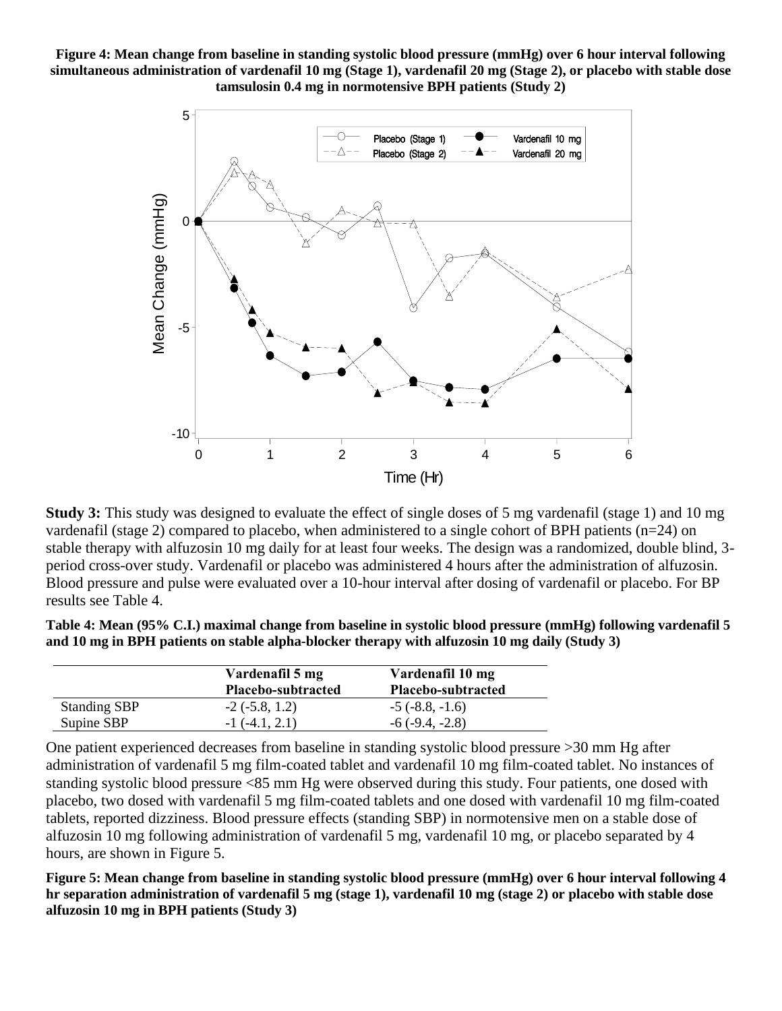**Figure 4: Mean change from baseline in standing systolic blood pressure (mmHg) over 6 hour interval following simultaneous administration of vardenafil 10 mg (Stage 1), vardenafil 20 mg (Stage 2), or placebo with stable dose tamsulosin 0.4 mg in normotensive BPH patients (Study 2)** 



**Study 3:** This study was designed to evaluate the effect of single doses of 5 mg vardenafil (stage 1) and 10 mg vardenafil (stage 2) compared to placebo, when administered to a single cohort of BPH patients (n=24) on stable therapy with alfuzosin 10 mg daily for at least four weeks. The design was a randomized, double blind, 3 period cross-over study. Vardenafil or placebo was administered 4 hours after the administration of alfuzosin. Blood pressure and pulse were evaluated over a 10-hour interval after dosing of vardenafil or placebo. For BP results see Table 4.

| Table 4: Mean (95% C.I.) maximal change from baseline in systolic blood pressure (mmHg) following vardenafil 5 |
|----------------------------------------------------------------------------------------------------------------|
| and 10 mg in BPH patients on stable alpha-blocker therapy with alfuzosin 10 mg daily (Study 3)                 |

|                     | Vardenafil 5 mg<br>Placebo-subtracted | Vardenafil 10 mg<br><b>Placebo-subtracted</b> |
|---------------------|---------------------------------------|-----------------------------------------------|
| <b>Standing SBP</b> | $-2$ ( $-5.8$ , 1.2)                  | $-5$ ( $-8.8, -1.6$ )                         |
| Supine SBP          | $-1(-4.1, 2.1)$                       | $-6(-9.4,-2.8)$                               |

One patient experienced decreases from baseline in standing systolic blood pressure >30 mm Hg after administration of vardenafil 5 mg film-coated tablet and vardenafil 10 mg film-coated tablet. No instances of standing systolic blood pressure <85 mm Hg were observed during this study. Four patients, one dosed with placebo, two dosed with vardenafil 5 mg film-coated tablets and one dosed with vardenafil 10 mg film-coated tablets, reported dizziness. Blood pressure effects (standing SBP) in normotensive men on a stable dose of alfuzosin 10 mg following administration of vardenafil 5 mg, vardenafil 10 mg, or placebo separated by 4 hours, are shown in Figure 5.

**Figure 5: Mean change from baseline in standing systolic blood pressure (mmHg) over 6 hour interval following 4 hr separation administration of vardenafil 5 mg (stage 1), vardenafil 10 mg (stage 2) or placebo with stable dose alfuzosin 10 mg in BPH patients (Study 3)**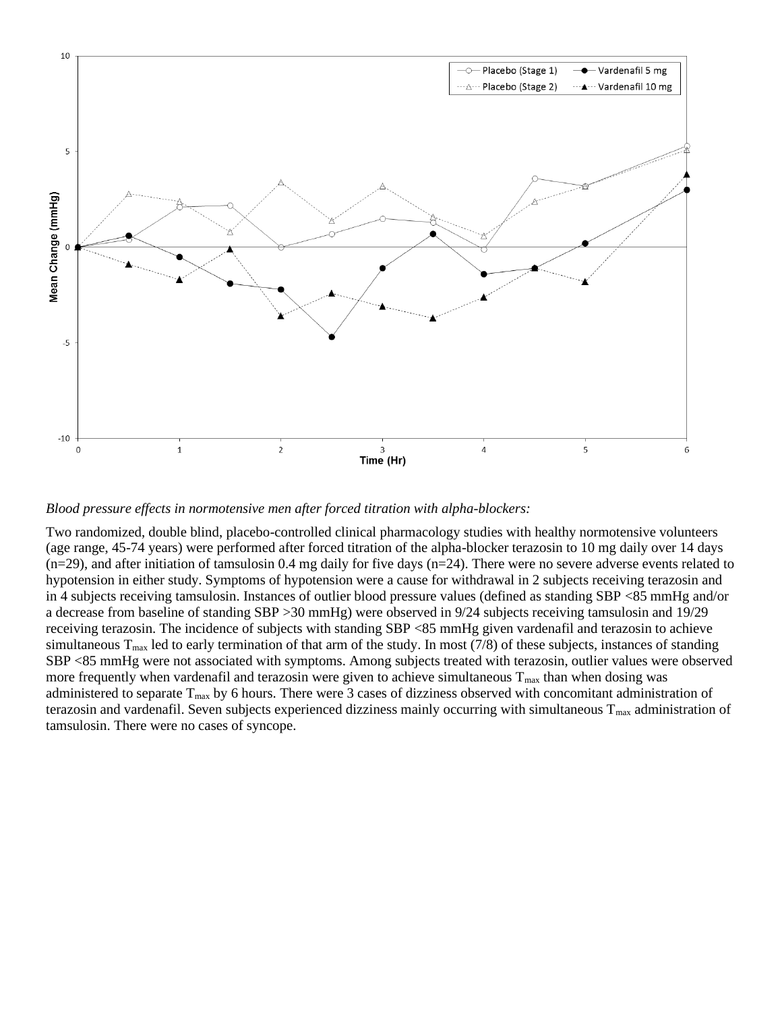

*Blood pressure effects in normotensive men after forced titration with alpha-blockers:* 

Two randomized, double blind, placebo-controlled clinical pharmacology studies with healthy normotensive volunteers (age range, 45-74 years) were performed after forced titration of the alpha-blocker terazosin to 10 mg daily over 14 days  $(n=29)$ , and after initiation of tamsulosin 0.4 mg daily for five days  $(n=24)$ . There were no severe adverse events related to hypotension in either study. Symptoms of hypotension were a cause for withdrawal in 2 subjects receiving terazosin and in 4 subjects receiving tamsulosin. Instances of outlier blood pressure values (defined as standing SBP <85 mmHg and/or a decrease from baseline of standing SBP >30 mmHg) were observed in 9/24 subjects receiving tamsulosin and 19/29 receiving terazosin. The incidence of subjects with standing SBP <85 mmHg given vardenafil and terazosin to achieve simultaneous  $T_{\text{max}}$  led to early termination of that arm of the study. In most (7/8) of these subjects, instances of standing SBP <85 mmHg were not associated with symptoms. Among subjects treated with terazosin, outlier values were observed more frequently when vardenafil and terazosin were given to achieve simultaneous  $T_{\text{max}}$  than when dosing was administered to separate  $T_{max}$  by 6 hours. There were 3 cases of dizziness observed with concomitant administration of terazosin and vardenafil. Seven subjects experienced dizziness mainly occurring with simultaneous  $T_{\text{max}}$  administration of tamsulosin. There were no cases of syncope.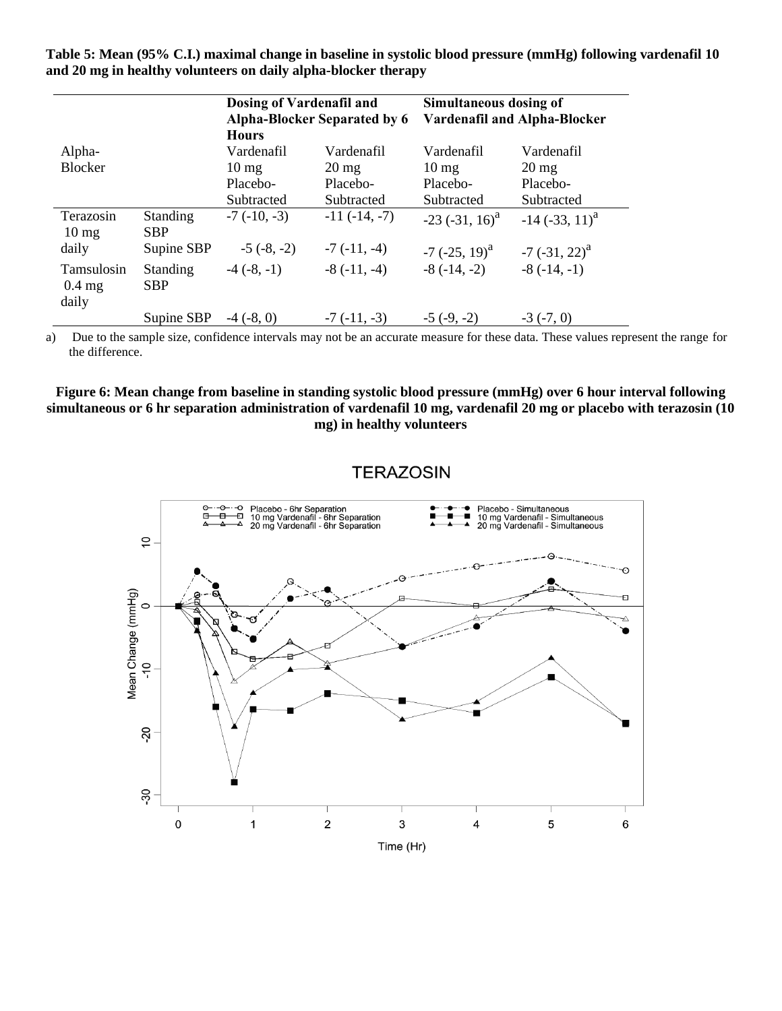**Table 5: Mean (95% C.I.) maximal change in baseline in systolic blood pressure (mmHg) following vardenafil 10 and 20 mg in healthy volunteers on daily alpha-blocker therapy** 

|                                        |                               | Dosing of Vardenafil and | <b>Alpha-Blocker Separated by 6</b> | Simultaneous dosing of              | <b>Vardenafil and Alpha-Blocker</b> |
|----------------------------------------|-------------------------------|--------------------------|-------------------------------------|-------------------------------------|-------------------------------------|
|                                        |                               | <b>Hours</b>             |                                     |                                     |                                     |
| Alpha-                                 |                               | Vardenafil               | Vardenafil                          | Vardenafil                          | Vardenafil                          |
| <b>Blocker</b>                         |                               | $10 \text{ mg}$          | $20 \,\mathrm{mg}$                  | $10 \text{ mg}$                     | $20 \,\mathrm{mg}$                  |
|                                        |                               | Placebo-                 | Placebo-                            | Placebo-                            | Placebo-                            |
|                                        |                               | Subtracted               | Subtracted                          | Subtracted                          | Subtracted                          |
| Terazosin<br>$10 \text{ mg}$           | <b>Standing</b><br><b>SBP</b> | $-7$ ( $-10, -3$ )       | $-11(-14,-7)$                       | $-23$ ( $-31$ , $16$ ) <sup>a</sup> | $-14$ $(-33, 11)^{a}$               |
| daily                                  | Supine SBP                    | $-5(-8, -2)$             | $-7(-11,-4)$                        | $-7$ ( $-25$ , 19) <sup>a</sup>     | $-7$ ( $-31$ , $22$ ) <sup>a</sup>  |
| <b>Tamsulosin</b><br>$0.4$ mg<br>daily | <b>Standing</b><br><b>SBP</b> | $-4(-8,-1)$              | $-8(-11,-4)$                        | $-8(-14,-2)$                        | $-8(-14,-1)$                        |
|                                        | Supine SBP                    | $-4(-8, 0)$              | $-7(-11,-3)$                        | $-5(-9,-2)$                         | $-3(-7, 0)$                         |

a) Due to the sample size, confidence intervals may not be an accurate measure for these data. These values represent the range for the difference.

#### **Figure 6: Mean change from baseline in standing systolic blood pressure (mmHg) over 6 hour interval following simultaneous or 6 hr separation administration of vardenafil 10 mg, vardenafil 20 mg or placebo with terazosin (10 mg) in healthy volunteers**

## **TERAZOSIN**

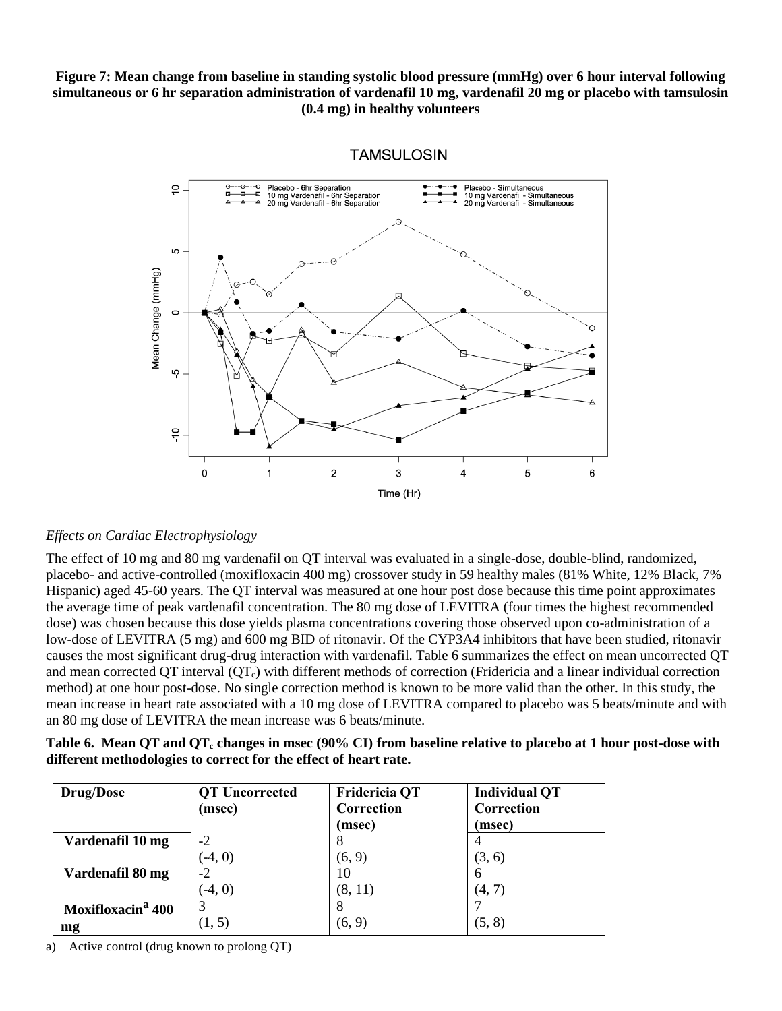### **Figure 7: Mean change from baseline in standing systolic blood pressure (mmHg) over 6 hour interval following simultaneous or 6 hr separation administration of vardenafil 10 mg, vardenafil 20 mg or placebo with tamsulosin (0.4 mg) in healthy volunteers**



#### **TAMSULOSIN**

### *Effects on Cardiac Electrophysiology*

The effect of 10 mg and 80 mg vardenafil on QT interval was evaluated in a single-dose, double-blind, randomized, placebo- and active-controlled (moxifloxacin 400 mg) crossover study in 59 healthy males (81% White, 12% Black, 7% Hispanic) aged 45-60 years. The QT interval was measured at one hour post dose because this time point approximates the average time of peak vardenafil concentration. The 80 mg dose of LEVITRA (four times the highest recommended dose) was chosen because this dose yields plasma concentrations covering those observed upon co-administration of a low-dose of LEVITRA (5 mg) and 600 mg BID of ritonavir. Of the CYP3A4 inhibitors that have been studied, ritonavir causes the most significant drug-drug interaction with vardenafil. Table 6 summarizes the effect on mean uncorrected QT and mean corrected QT interval  $(QT<sub>c</sub>)$  with different methods of correction (Fridericia and a linear individual correction method) at one hour post-dose. No single correction method is known to be more valid than the other. In this study, the mean increase in heart rate associated with a 10 mg dose of LEVITRA compared to placebo was 5 beats/minute and with an 80 mg dose of LEVITRA the mean increase was 6 beats/minute.

| Table 6. Mean QT and QT <sub>c</sub> changes in msec (90% CI) from baseline relative to placebo at 1 hour post-dose with |  |
|--------------------------------------------------------------------------------------------------------------------------|--|
| different methodologies to correct for the effect of heart rate.                                                         |  |

| <b>Drug/Dose</b>              | <b>QT</b> Uncorrected<br>(msec) | <b>Fridericia QT</b><br>Correction<br>(msec) | <b>Individual QT</b><br>Correction<br>(msec) |
|-------------------------------|---------------------------------|----------------------------------------------|----------------------------------------------|
| Vardenafil 10 mg              | $-2$                            | ∩                                            |                                              |
|                               | $(-4, 0)$                       | (6, 9)                                       | (3, 6)                                       |
| Vardenafil 80 mg              | $-2$                            | 10                                           | <sub>0</sub>                                 |
|                               | $(-4, 0)$                       | (8, 11)                                      | (4, 7)                                       |
| Moxifloxacin <sup>a</sup> 400 | 3                               | 8                                            |                                              |
| mg                            | (1, 5)                          | (6, 9)                                       | (5, 8)                                       |

a) Active control (drug known to prolong QT)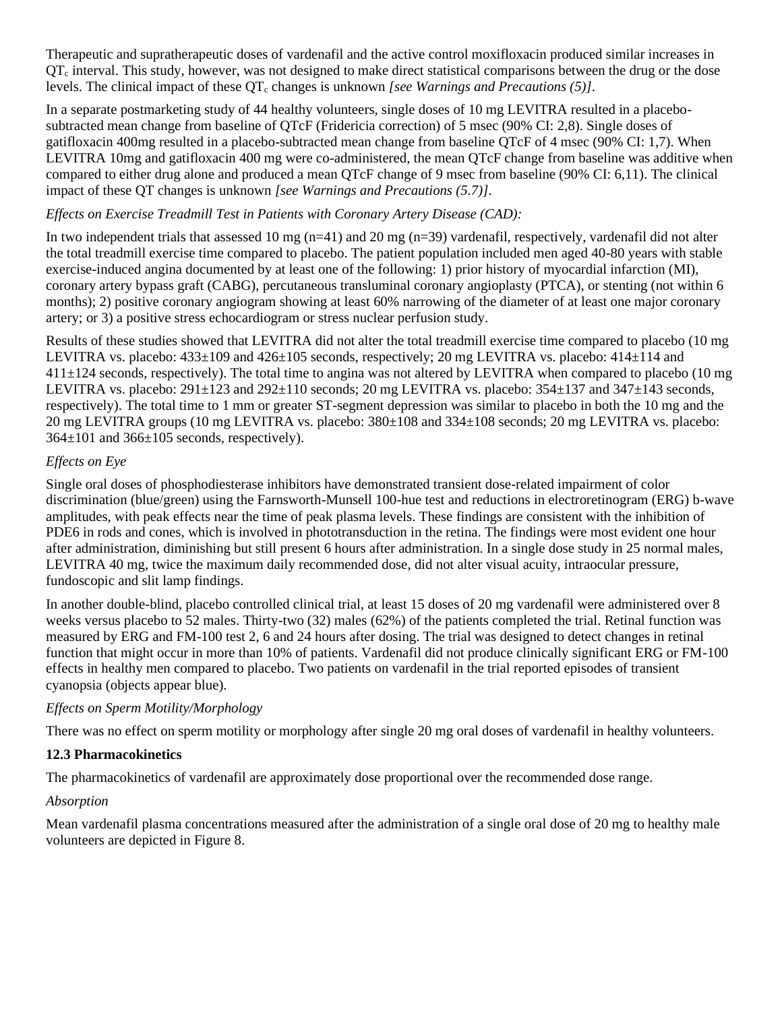Therapeutic and supratherapeutic doses of vardenafil and the active control moxifloxacin produced similar increases in  $QT<sub>c</sub>$  interval. This study, however, was not designed to make direct statistical comparisons between the drug or the dose levels. The clinical impact of these  $OT_c$  changes is unknown *[see Warnings and Precautions (5)]*.

In a separate postmarketing study of 44 healthy volunteers, single doses of 10 mg LEVITRA resulted in a placebosubtracted mean change from baseline of QTcF (Fridericia correction) of 5 msec (90% CI: 2,8). Single doses of gatifloxacin 400mg resulted in a placebo-subtracted mean change from baseline QTcF of 4 msec (90% CI: 1,7). When LEVITRA 10mg and gatifloxacin 400 mg were co-administered, the mean QTcF change from baseline was additive when compared to either drug alone and produced a mean QTcF change of 9 msec from baseline (90% CI: 6,11). The clinical impact of these QT changes is unknown *[see Warnings and Precautions (5.7)]*.

# *Effects on Exercise Treadmill Test in Patients with Coronary Artery Disease (CAD):*

In two independent trials that assessed 10 mg ( $n=41$ ) and 20 mg ( $n=39$ ) vardenafil, respectively, vardenafil did not alter the total treadmill exercise time compared to placebo. The patient population included men aged 40-80 years with stable exercise-induced angina documented by at least one of the following: 1) prior history of myocardial infarction (MI), coronary artery bypass graft (CABG), percutaneous transluminal coronary angioplasty (PTCA), or stenting (not within 6 months); 2) positive coronary angiogram showing at least 60% narrowing of the diameter of at least one major coronary artery; or 3) a positive stress echocardiogram or stress nuclear perfusion study.

Results of these studies showed that LEVITRA did not alter the total treadmill exercise time compared to placebo (10 mg LEVITRA vs. placebo: 433±109 and 426±105 seconds, respectively; 20 mg LEVITRA vs. placebo: 414±114 and 411±124 seconds, respectively). The total time to angina was not altered by LEVITRA when compared to placebo (10 mg LEVITRA vs. placebo: 291±123 and 292±110 seconds; 20 mg LEVITRA vs. placebo: 354±137 and 347±143 seconds, respectively). The total time to 1 mm or greater ST-segment depression was similar to placebo in both the 10 mg and the 20 mg LEVITRA groups (10 mg LEVITRA vs. placebo: 380±108 and 334±108 seconds; 20 mg LEVITRA vs. placebo:  $364\pm101$  and  $366\pm105$  seconds, respectively).

# *Effects on Eye*

Single oral doses of phosphodiesterase inhibitors have demonstrated transient dose-related impairment of color discrimination (blue/green) using the Farnsworth-Munsell 100-hue test and reductions in electroretinogram (ERG) b-wave amplitudes, with peak effects near the time of peak plasma levels. These findings are consistent with the inhibition of PDE6 in rods and cones, which is involved in phototransduction in the retina. The findings were most evident one hour after administration, diminishing but still present 6 hours after administration. In a single dose study in 25 normal males, LEVITRA 40 mg, twice the maximum daily recommended dose, did not alter visual acuity, intraocular pressure, fundoscopic and slit lamp findings.

In another double-blind, placebo controlled clinical trial, at least 15 doses of 20 mg vardenafil were administered over 8 weeks versus placebo to 52 males. Thirty-two (32) males (62%) of the patients completed the trial. Retinal function was measured by ERG and FM-100 test 2, 6 and 24 hours after dosing. The trial was designed to detect changes in retinal function that might occur in more than 10% of patients. Vardenafil did not produce clinically significant ERG or FM-100 effects in healthy men compared to placebo. Two patients on vardenafil in the trial reported episodes of transient cyanopsia (objects appear blue).

## *Effects on Sperm Motility/Morphology*

There was no effect on sperm motility or morphology after single 20 mg oral doses of vardenafil in healthy volunteers.

## **12.3 Pharmacokinetics**

The pharmacokinetics of vardenafil are approximately dose proportional over the recommended dose range.

## *Absorption*

Mean vardenafil plasma concentrations measured after the administration of a single oral dose of 20 mg to healthy male volunteers are depicted in Figure 8.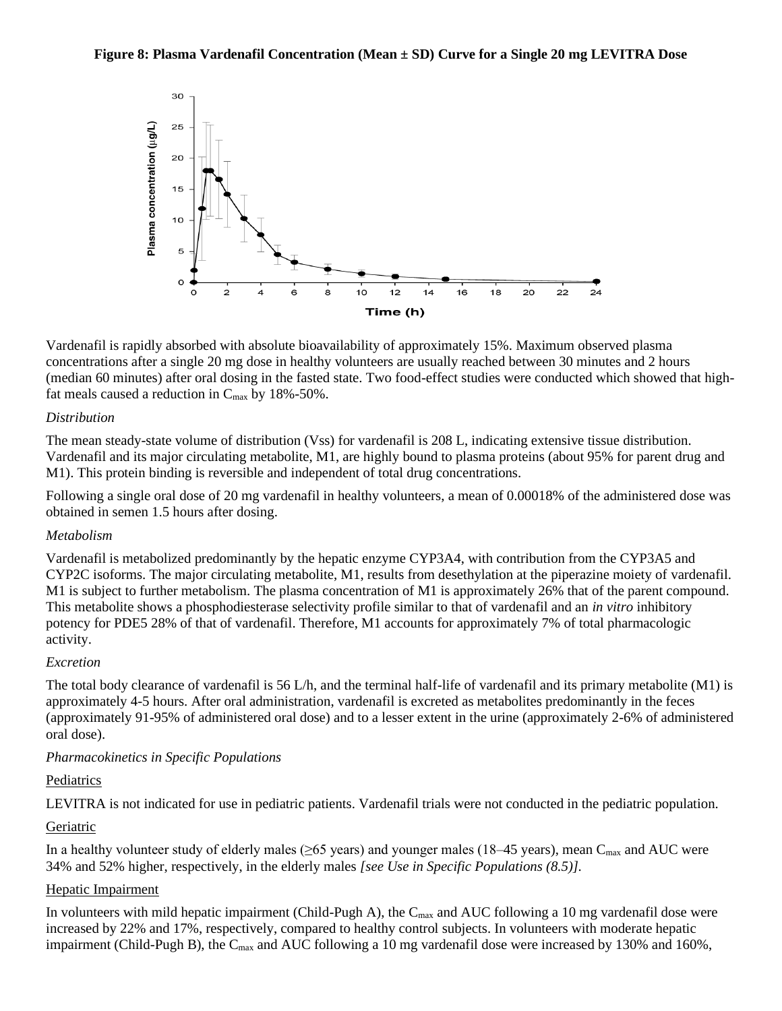#### **Figure 8: Plasma Vardenafil Concentration (Mean ± SD) Curve for a Single 20 mg LEVITRA Dose**



Vardenafil is rapidly absorbed with absolute bioavailability of approximately 15%. Maximum observed plasma concentrations after a single 20 mg dose in healthy volunteers are usually reached between 30 minutes and 2 hours (median 60 minutes) after oral dosing in the fasted state. Two food-effect studies were conducted which showed that highfat meals caused a reduction in  $C_{\text{max}}$  by 18%-50%.

### *Distribution*

The mean steady-state volume of distribution (Vss) for vardenafil is 208 L, indicating extensive tissue distribution. Vardenafil and its major circulating metabolite, M1, are highly bound to plasma proteins (about 95% for parent drug and M1). This protein binding is reversible and independent of total drug concentrations.

Following a single oral dose of 20 mg vardenafil in healthy volunteers, a mean of 0.00018% of the administered dose was obtained in semen 1.5 hours after dosing.

### *Metabolism*

Vardenafil is metabolized predominantly by the hepatic enzyme CYP3A4, with contribution from the CYP3A5 and CYP2C isoforms. The major circulating metabolite, M1, results from desethylation at the piperazine moiety of vardenafil. M1 is subject to further metabolism. The plasma concentration of M1 is approximately 26% that of the parent compound. This metabolite shows a phosphodiesterase selectivity profile similar to that of vardenafil and an *in vitro* inhibitory potency for PDE5 28% of that of vardenafil. Therefore, M1 accounts for approximately 7% of total pharmacologic activity.

### *Excretion*

The total body clearance of vardenafil is 56 L/h, and the terminal half-life of vardenafil and its primary metabolite (M1) is approximately 4-5 hours. After oral administration, vardenafil is excreted as metabolites predominantly in the feces (approximately 91-95% of administered oral dose) and to a lesser extent in the urine (approximately 2-6% of administered oral dose).

## *Pharmacokinetics in Specific Populations*

### Pediatrics

LEVITRA is not indicated for use in pediatric patients. Vardenafil trials were not conducted in the pediatric population.

## **Geriatric**

In a healthy volunteer study of elderly males ( $\geq 65$  years) and younger males (18–45 years), mean C<sub>max</sub> and AUC were 34% and 52% higher, respectively, in the elderly males *[see Use in Specific Populations (8.5)].*

### Hepatic Impairment

In volunteers with mild hepatic impairment (Child-Pugh A), the  $C_{\text{max}}$  and AUC following a 10 mg vardenafil dose were increased by 22% and 17%, respectively, compared to healthy control subjects. In volunteers with moderate hepatic impairment (Child-Pugh B), the  $C_{\text{max}}$  and AUC following a 10 mg vardenafil dose were increased by 130% and 160%,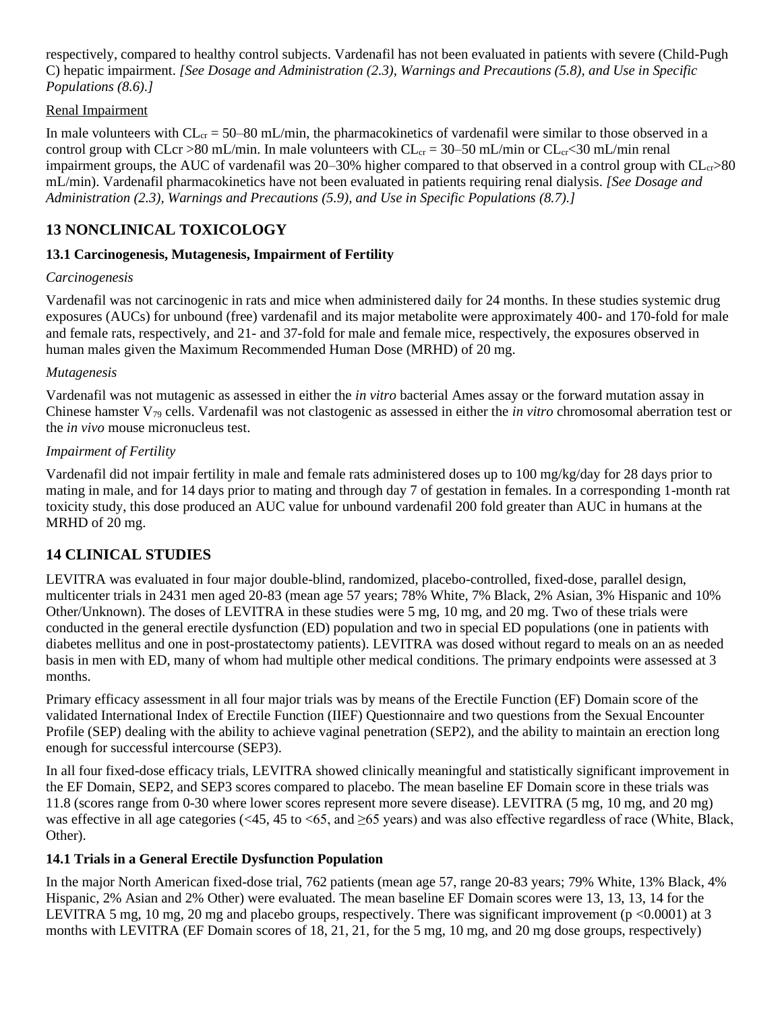respectively, compared to healthy control subjects. Vardenafil has not been evaluated in patients with severe (Child-Pugh C) hepatic impairment. *[See Dosage and Administration (2.3), Warnings and Precautions (5.8), and Use in Specific Populations (8.6).]*

### Renal Impairment

In male volunteers with  $CL_{cr} = 50-80$  mL/min, the pharmacokinetics of vardenafil were similar to those observed in a control group with CLcr >80 mL/min. In male volunteers with  $CL_{cr} = 30-50$  mL/min or  $CL_{cr} < 30$  mL/min renal impairment groups, the AUC of vardenafil was 20–30% higher compared to that observed in a control group with  $CL_{cr} > 80$ mL/min). Vardenafil pharmacokinetics have not been evaluated in patients requiring renal dialysis. *[See Dosage and Administration (2.3), Warnings and Precautions (5.9), and Use in Specific Populations (8.7).]*

# **13 NONCLINICAL TOXICOLOGY**

### **13.1 Carcinogenesis, Mutagenesis, Impairment of Fertility**

### *Carcinogenesis*

Vardenafil was not carcinogenic in rats and mice when administered daily for 24 months. In these studies systemic drug exposures (AUCs) for unbound (free) vardenafil and its major metabolite were approximately 400- and 170-fold for male and female rats, respectively, and 21- and 37-fold for male and female mice, respectively, the exposures observed in human males given the Maximum Recommended Human Dose (MRHD) of 20 mg.

### *Mutagenesis*

Vardenafil was not mutagenic as assessed in either the *in vitro* bacterial Ames assay or the forward mutation assay in Chinese hamster V<sup>79</sup> cells. Vardenafil was not clastogenic as assessed in either the *in vitro* chromosomal aberration test or the *in vivo* mouse micronucleus test.

### *Impairment of Fertility*

Vardenafil did not impair fertility in male and female rats administered doses up to 100 mg/kg/day for 28 days prior to mating in male, and for 14 days prior to mating and through day 7 of gestation in females. In a corresponding 1-month rat toxicity study, this dose produced an AUC value for unbound vardenafil 200 fold greater than AUC in humans at the MRHD of 20 mg.

# **14 CLINICAL STUDIES**

LEVITRA was evaluated in four major double-blind, randomized, placebo-controlled, fixed-dose, parallel design, multicenter trials in 2431 men aged 20-83 (mean age 57 years; 78% White, 7% Black, 2% Asian, 3% Hispanic and 10% Other/Unknown). The doses of LEVITRA in these studies were 5 mg, 10 mg, and 20 mg. Two of these trials were conducted in the general erectile dysfunction (ED) population and two in special ED populations (one in patients with diabetes mellitus and one in post-prostatectomy patients). LEVITRA was dosed without regard to meals on an as needed basis in men with ED, many of whom had multiple other medical conditions. The primary endpoints were assessed at 3 months.

Primary efficacy assessment in all four major trials was by means of the Erectile Function (EF) Domain score of the validated International Index of Erectile Function (IIEF) Questionnaire and two questions from the Sexual Encounter Profile (SEP) dealing with the ability to achieve vaginal penetration (SEP2), and the ability to maintain an erection long enough for successful intercourse (SEP3).

In all four fixed-dose efficacy trials, LEVITRA showed clinically meaningful and statistically significant improvement in the EF Domain, SEP2, and SEP3 scores compared to placebo. The mean baseline EF Domain score in these trials was 11.8 (scores range from 0-30 where lower scores represent more severe disease). LEVITRA (5 mg, 10 mg, and 20 mg) was effective in all age categories (<45, 45 to <65, and  $\geq$ 65 years) and was also effective regardless of race (White, Black, Other).

## **14.1 Trials in a General Erectile Dysfunction Population**

In the major North American fixed-dose trial, 762 patients (mean age 57, range 20-83 years; 79% White, 13% Black, 4% Hispanic, 2% Asian and 2% Other) were evaluated. The mean baseline EF Domain scores were 13, 13, 13, 14 for the LEVITRA 5 mg, 10 mg, 20 mg and placebo groups, respectively. There was significant improvement ( $p \le 0.0001$ ) at 3 months with LEVITRA (EF Domain scores of 18, 21, 21, for the 5 mg, 10 mg, and 20 mg dose groups, respectively)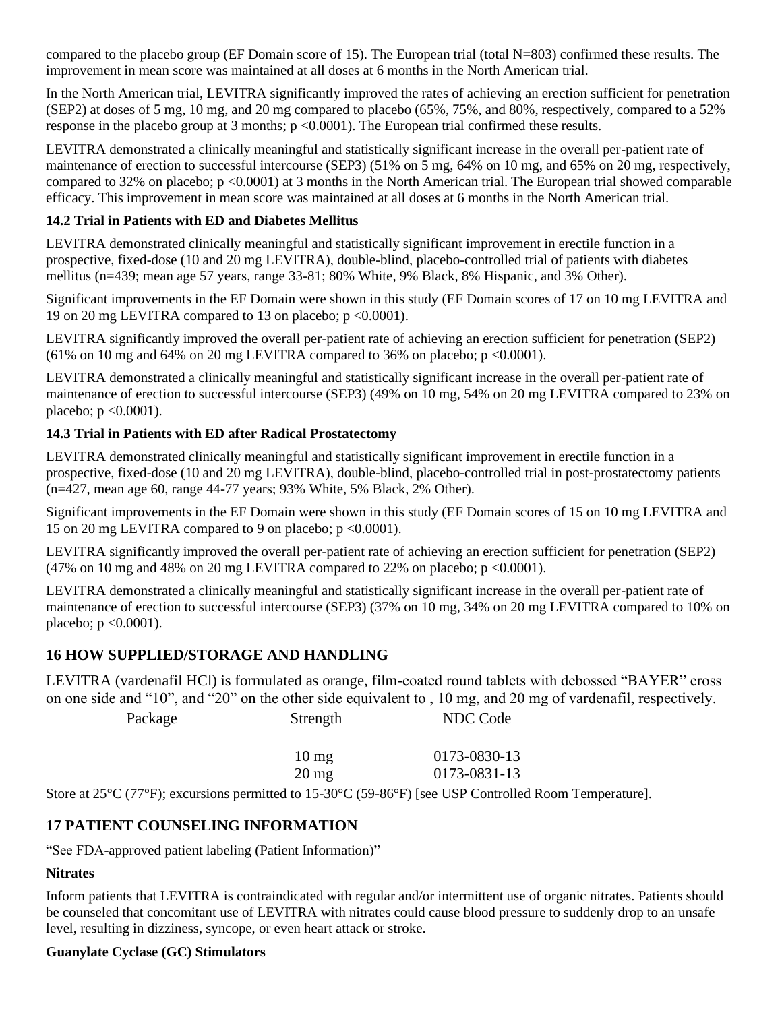compared to the placebo group (EF Domain score of 15). The European trial (total N=803) confirmed these results. The improvement in mean score was maintained at all doses at 6 months in the North American trial.

In the North American trial, LEVITRA significantly improved the rates of achieving an erection sufficient for penetration (SEP2) at doses of 5 mg, 10 mg, and 20 mg compared to placebo (65%, 75%, and 80%, respectively, compared to a 52% response in the placebo group at 3 months; p <0.0001). The European trial confirmed these results.

LEVITRA demonstrated a clinically meaningful and statistically significant increase in the overall per-patient rate of maintenance of erection to successful intercourse (SEP3) (51% on 5 mg, 64% on 10 mg, and 65% on 20 mg, respectively, compared to 32% on placebo;  $p \le 0.0001$  at 3 months in the North American trial. The European trial showed comparable efficacy. This improvement in mean score was maintained at all doses at 6 months in the North American trial.

## **14.2 Trial in Patients with ED and Diabetes Mellitus**

LEVITRA demonstrated clinically meaningful and statistically significant improvement in erectile function in a prospective, fixed-dose (10 and 20 mg LEVITRA), double-blind, placebo-controlled trial of patients with diabetes mellitus (n=439; mean age 57 years, range 33-81; 80% White, 9% Black, 8% Hispanic, and 3% Other).

Significant improvements in the EF Domain were shown in this study (EF Domain scores of 17 on 10 mg LEVITRA and 19 on 20 mg LEVITRA compared to 13 on placebo; p <0.0001).

LEVITRA significantly improved the overall per-patient rate of achieving an erection sufficient for penetration (SEP2)  $(61\% \text{ on } 10 \text{ mg and } 64\% \text{ on } 20 \text{ mg LEVITRA compared to } 36\% \text{ on placebo; p < 0.0001).$ 

LEVITRA demonstrated a clinically meaningful and statistically significant increase in the overall per-patient rate of maintenance of erection to successful intercourse (SEP3) (49% on 10 mg, 54% on 20 mg LEVITRA compared to 23% on placebo;  $p \leq 0.0001$ ).

## **14.3 Trial in Patients with ED after Radical Prostatectomy**

LEVITRA demonstrated clinically meaningful and statistically significant improvement in erectile function in a prospective, fixed-dose (10 and 20 mg LEVITRA), double-blind, placebo-controlled trial in post-prostatectomy patients (n=427, mean age 60, range 44-77 years; 93% White, 5% Black, 2% Other).

Significant improvements in the EF Domain were shown in this study (EF Domain scores of 15 on 10 mg LEVITRA and 15 on 20 mg LEVITRA compared to 9 on placebo; p <0.0001).

LEVITRA significantly improved the overall per-patient rate of achieving an erection sufficient for penetration (SEP2) (47% on 10 mg and 48% on 20 mg LEVITRA compared to 22% on placebo;  $p \le 0.0001$ ).

LEVITRA demonstrated a clinically meaningful and statistically significant increase in the overall per-patient rate of maintenance of erection to successful intercourse (SEP3) (37% on 10 mg, 34% on 20 mg LEVITRA compared to 10% on placebo;  $p \leq 0.0001$ ).

# **16 HOW SUPPLIED/STORAGE AND HANDLING**

LEVITRA (vardenafil HCl) is formulated as orange, film-coated round tablets with debossed "BAYER" cross on one side and "10", and "20" on the other side equivalent to , 10 mg, and 20 mg of vardenafil, respectively.

| Package   | Strength        | NDC Code                           |  |
|-----------|-----------------|------------------------------------|--|
|           | $10 \text{ mg}$ | 0173-0830-13                       |  |
|           | $20 \text{ mg}$ | 0173-0831-13                       |  |
| --------- |                 | -- - -<br>$\overline{\phantom{a}}$ |  |

Store at 25°C (77°F); excursions permitted to 15-30°C (59-86°F) [see USP Controlled Room Temperature].

# **17 PATIENT COUNSELING INFORMATION**

"See FDA-approved patient labeling (Patient Information)"

# **Nitrates**

Inform patients that LEVITRA is contraindicated with regular and/or intermittent use of organic nitrates. Patients should be counseled that concomitant use of LEVITRA with nitrates could cause blood pressure to suddenly drop to an unsafe level, resulting in dizziness, syncope, or even heart attack or stroke.

## **Guanylate Cyclase (GC) Stimulators**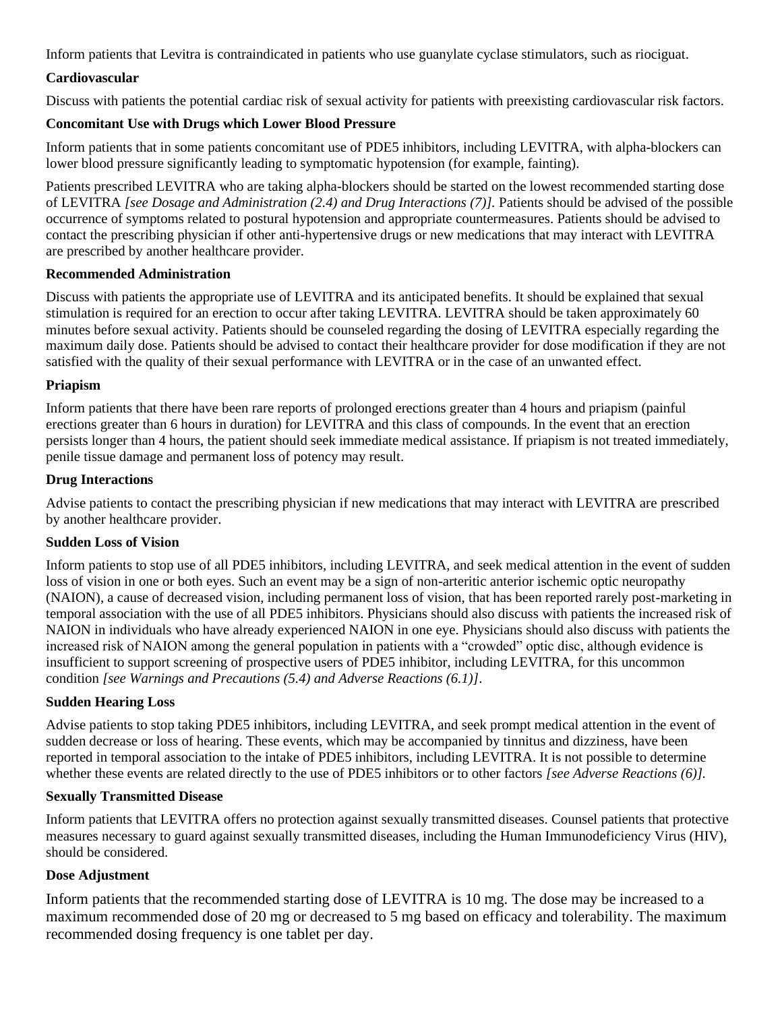Inform patients that Levitra is contraindicated in patients who use guanylate cyclase stimulators, such as riociguat.

### **Cardiovascular**

Discuss with patients the potential cardiac risk of sexual activity for patients with preexisting cardiovascular risk factors.

### **Concomitant Use with Drugs which Lower Blood Pressure**

Inform patients that in some patients concomitant use of PDE5 inhibitors, including LEVITRA, with alpha-blockers can lower blood pressure significantly leading to symptomatic hypotension (for example, fainting).

Patients prescribed LEVITRA who are taking alpha-blockers should be started on the lowest recommended starting dose of LEVITRA *[see Dosage and Administration (2.4) and Drug Interactions (7)].* Patients should be advised of the possible occurrence of symptoms related to postural hypotension and appropriate countermeasures. Patients should be advised to contact the prescribing physician if other anti-hypertensive drugs or new medications that may interact with LEVITRA are prescribed by another healthcare provider.

### **Recommended Administration**

Discuss with patients the appropriate use of LEVITRA and its anticipated benefits. It should be explained that sexual stimulation is required for an erection to occur after taking LEVITRA. LEVITRA should be taken approximately 60 minutes before sexual activity. Patients should be counseled regarding the dosing of LEVITRA especially regarding the maximum daily dose. Patients should be advised to contact their healthcare provider for dose modification if they are not satisfied with the quality of their sexual performance with LEVITRA or in the case of an unwanted effect.

### **Priapism**

Inform patients that there have been rare reports of prolonged erections greater than 4 hours and priapism (painful erections greater than 6 hours in duration) for LEVITRA and this class of compounds. In the event that an erection persists longer than 4 hours, the patient should seek immediate medical assistance. If priapism is not treated immediately, penile tissue damage and permanent loss of potency may result.

### **Drug Interactions**

Advise patients to contact the prescribing physician if new medications that may interact with LEVITRA are prescribed by another healthcare provider.

### **Sudden Loss of Vision**

Inform patients to stop use of all PDE5 inhibitors, including LEVITRA, and seek medical attention in the event of sudden loss of vision in one or both eyes. Such an event may be a sign of non-arteritic anterior ischemic optic neuropathy (NAION), a cause of decreased vision, including permanent loss of vision, that has been reported rarely post-marketing in temporal association with the use of all PDE5 inhibitors. Physicians should also discuss with patients the increased risk of NAION in individuals who have already experienced NAION in one eye. Physicians should also discuss with patients the increased risk of NAION among the general population in patients with a "crowded" optic disc, although evidence is insufficient to support screening of prospective users of PDE5 inhibitor, including LEVITRA, for this uncommon condition *[see Warnings and Precautions (5.4) and Adverse Reactions (6.1)]*.

## **Sudden Hearing Loss**

Advise patients to stop taking PDE5 inhibitors, including LEVITRA, and seek prompt medical attention in the event of sudden decrease or loss of hearing. These events, which may be accompanied by tinnitus and dizziness, have been reported in temporal association to the intake of PDE5 inhibitors, including LEVITRA. It is not possible to determine whether these events are related directly to the use of PDE5 inhibitors or to other factors *[see Adverse Reactions (6)]*.

### **Sexually Transmitted Disease**

Inform patients that LEVITRA offers no protection against sexually transmitted diseases. Counsel patients that protective measures necessary to guard against sexually transmitted diseases, including the Human Immunodeficiency Virus (HIV), should be considered.

## **Dose Adjustment**

Inform patients that the recommended starting dose of LEVITRA is 10 mg. The dose may be increased to a maximum recommended dose of 20 mg or decreased to 5 mg based on efficacy and tolerability. The maximum recommended dosing frequency is one tablet per day.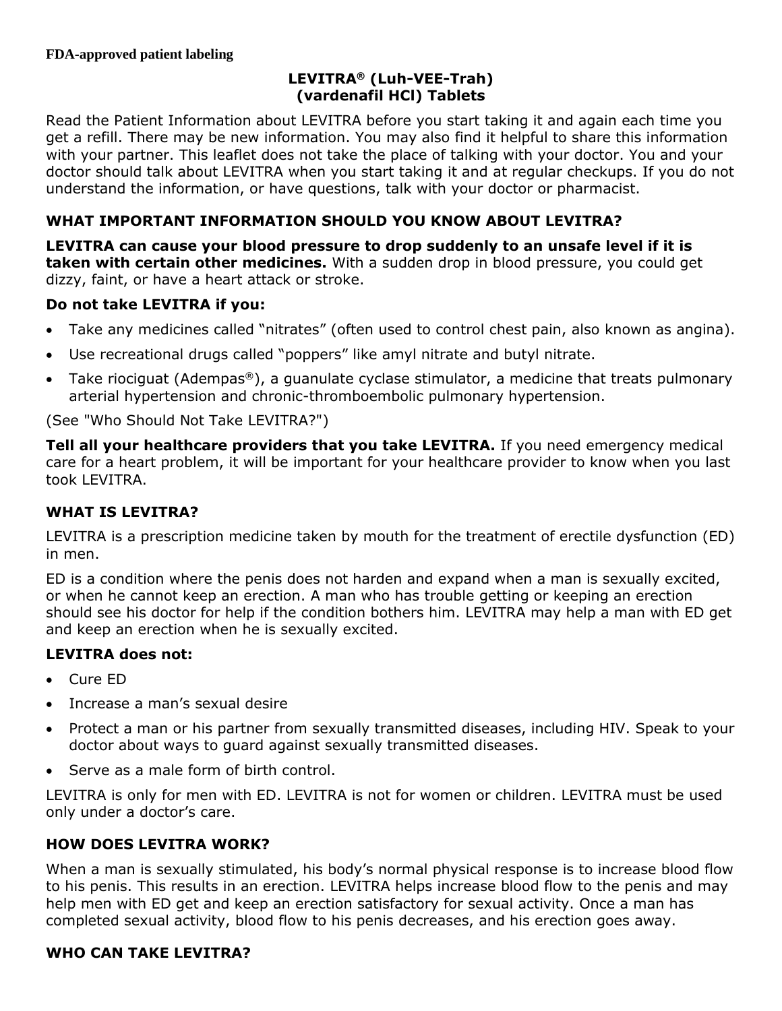# **LEVITRA® (Luh-VEE-Trah) (vardenafil HCl) Tablets**

Read the Patient Information about LEVITRA before you start taking it and again each time you get a refill. There may be new information. You may also find it helpful to share this information with your partner. This leaflet does not take the place of talking with your doctor. You and your doctor should talk about LEVITRA when you start taking it and at regular checkups. If you do not understand the information, or have questions, talk with your doctor or pharmacist.

# **WHAT IMPORTANT INFORMATION SHOULD YOU KNOW ABOUT LEVITRA?**

**LEVITRA can cause your blood pressure to drop suddenly to an unsafe level if it is taken with certain other medicines.** With a sudden drop in blood pressure, you could get dizzy, faint, or have a heart attack or stroke.

# **Do not take LEVITRA if you:**

- Take any medicines called "nitrates" (often used to control chest pain, also known as angina).
- Use recreational drugs called "poppers" like amyl nitrate and butyl nitrate.
- Take riociguat (Adempas®), a guanulate cyclase stimulator, a medicine that treats pulmonary arterial hypertension and chronic-thromboembolic pulmonary hypertension.

(See "Who Should Not Take LEVITRA?")

**Tell all your healthcare providers that you take LEVITRA.** If you need emergency medical care for a heart problem, it will be important for your healthcare provider to know when you last took LEVITRA.

# **WHAT IS LEVITRA?**

LEVITRA is a prescription medicine taken by mouth for the treatment of erectile dysfunction (ED) in men.

ED is a condition where the penis does not harden and expand when a man is sexually excited, or when he cannot keep an erection. A man who has trouble getting or keeping an erection should see his doctor for help if the condition bothers him. LEVITRA may help a man with ED get and keep an erection when he is sexually excited.

# **LEVITRA does not:**

- Cure ED
- Increase a man's sexual desire
- Protect a man or his partner from sexually transmitted diseases, including HIV. Speak to your doctor about ways to guard against sexually transmitted diseases.
- Serve as a male form of birth control.

LEVITRA is only for men with ED. LEVITRA is not for women or children. LEVITRA must be used only under a doctor's care.

# **HOW DOES LEVITRA WORK?**

When a man is sexually stimulated, his body's normal physical response is to increase blood flow to his penis. This results in an erection. LEVITRA helps increase blood flow to the penis and may help men with ED get and keep an erection satisfactory for sexual activity. Once a man has completed sexual activity, blood flow to his penis decreases, and his erection goes away.

# **WHO CAN TAKE LEVITRA?**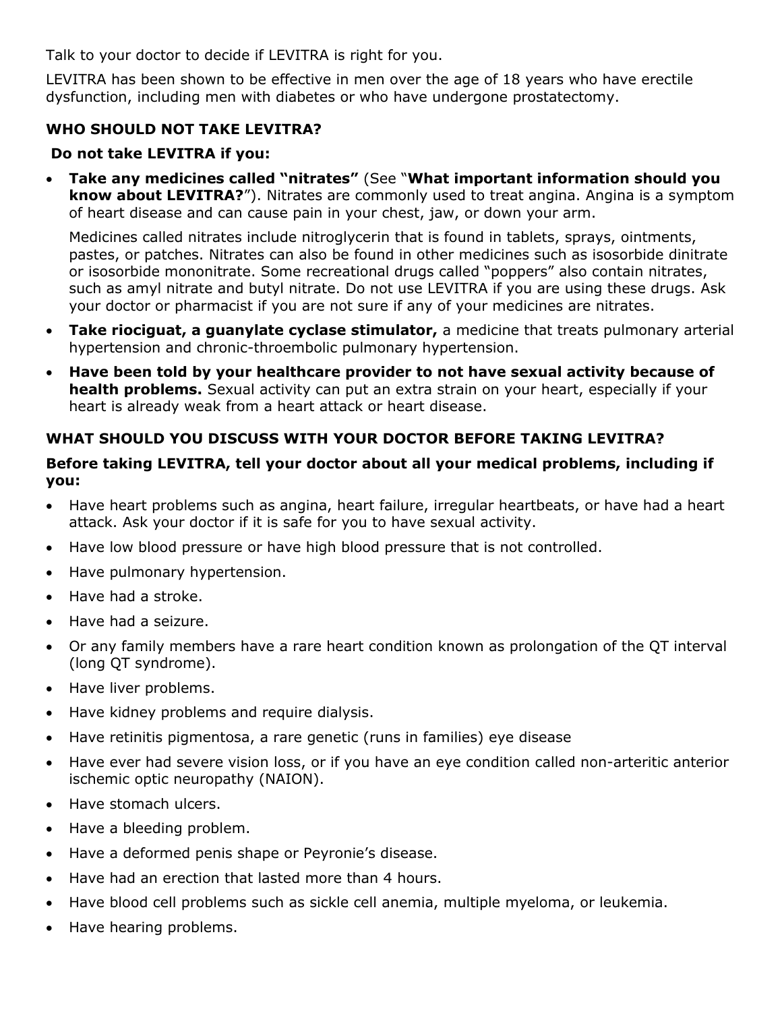Talk to your doctor to decide if LEVITRA is right for you.

LEVITRA has been shown to be effective in men over the age of 18 years who have erectile dysfunction, including men with diabetes or who have undergone prostatectomy.

# **WHO SHOULD NOT TAKE LEVITRA?**

# **Do not take LEVITRA if you:**

• **Take any medicines called "nitrates"** (See "**What important information should you know about LEVITRA?**"). Nitrates are commonly used to treat angina. Angina is a symptom of heart disease and can cause pain in your chest, jaw, or down your arm.

Medicines called nitrates include nitroglycerin that is found in tablets, sprays, ointments, pastes, or patches. Nitrates can also be found in other medicines such as isosorbide dinitrate or isosorbide mononitrate. Some recreational drugs called "poppers" also contain nitrates, such as amyl nitrate and butyl nitrate. Do not use LEVITRA if you are using these drugs. Ask your doctor or pharmacist if you are not sure if any of your medicines are nitrates.

- **Take riociguat, a guanylate cyclase stimulator,** a medicine that treats pulmonary arterial hypertension and chronic-throembolic pulmonary hypertension.
- **Have been told by your healthcare provider to not have sexual activity because of health problems.** Sexual activity can put an extra strain on your heart, especially if your heart is already weak from a heart attack or heart disease.

# **WHAT SHOULD YOU DISCUSS WITH YOUR DOCTOR BEFORE TAKING LEVITRA?**

# **Before taking LEVITRA, tell your doctor about all your medical problems, including if you:**

- Have heart problems such as angina, heart failure, irregular heartbeats, or have had a heart attack. Ask your doctor if it is safe for you to have sexual activity.
- Have low blood pressure or have high blood pressure that is not controlled.
- Have pulmonary hypertension.
- Have had a stroke.
- Have had a seizure.
- Or any family members have a rare heart condition known as prolongation of the QT interval (long QT syndrome).
- Have liver problems.
- Have kidney problems and require dialysis.
- Have retinitis pigmentosa, a rare genetic (runs in families) eye disease
- Have ever had severe vision loss, or if you have an eye condition called non-arteritic anterior ischemic optic neuropathy (NAION).
- Have stomach ulcers.
- Have a bleeding problem.
- Have a deformed penis shape or Peyronie's disease.
- Have had an erection that lasted more than 4 hours.
- Have blood cell problems such as sickle cell anemia, multiple myeloma, or leukemia.
- Have hearing problems.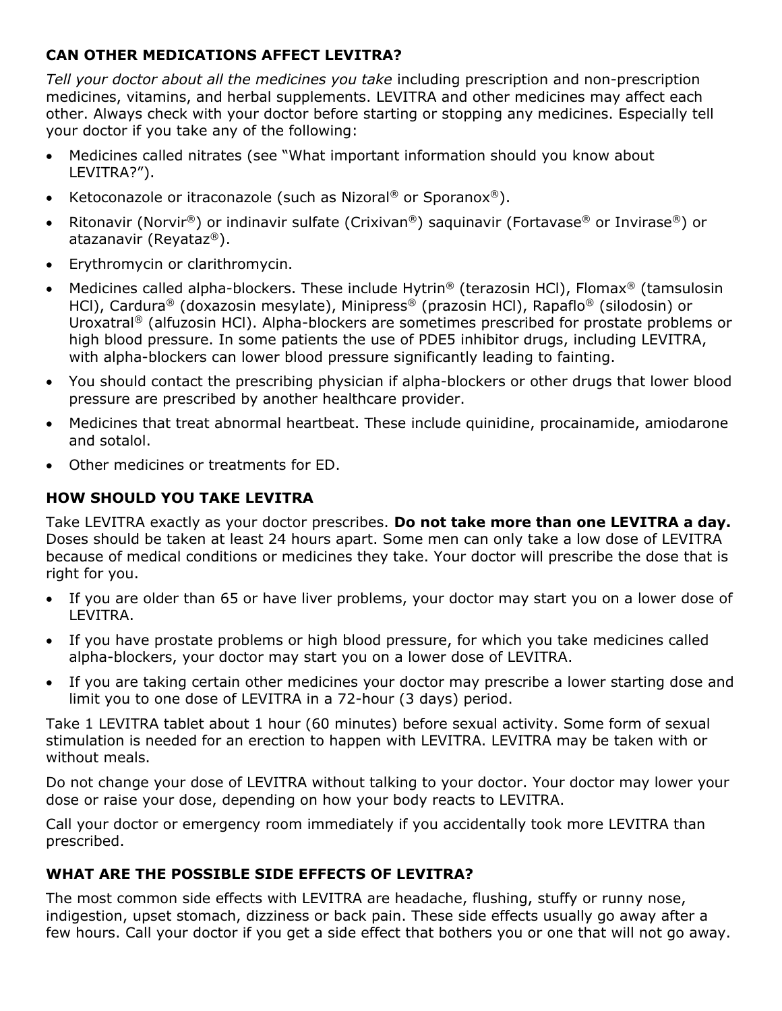# **CAN OTHER MEDICATIONS AFFECT LEVITRA?**

*Tell your doctor about all the medicines you take* including prescription and non-prescription medicines, vitamins, and herbal supplements. LEVITRA and other medicines may affect each other. Always check with your doctor before starting or stopping any medicines. Especially tell your doctor if you take any of the following:

- Medicines called nitrates (see "What important information should you know about LEVITRA?").
- Ketoconazole or itraconazole (such as Nizoral® or Sporanox®).
- Ritonavir (Norvir®) or indinavir sulfate (Crixivan®) saquinavir (Fortavase® or Invirase®) or atazanavir (Reyataz®).
- Erythromycin or clarithromycin.
- Medicines called alpha-blockers. These include Hytrin® (terazosin HCl), Flomax® (tamsulosin HCl), Cardura® (doxazosin mesylate), Minipress® (prazosin HCl), Rapaflo® (silodosin) or Uroxatral ® (alfuzosin HCl). Alpha-blockers are sometimes prescribed for prostate problems or high blood pressure. In some patients the use of PDE5 inhibitor drugs, including LEVITRA, with alpha-blockers can lower blood pressure significantly leading to fainting.
- You should contact the prescribing physician if alpha-blockers or other drugs that lower blood pressure are prescribed by another healthcare provider.
- Medicines that treat abnormal heartbeat. These include quinidine, procainamide, amiodarone and sotalol.
- Other medicines or treatments for ED.

# **HOW SHOULD YOU TAKE LEVITRA**

Take LEVITRA exactly as your doctor prescribes. **Do not take more than one LEVITRA a day.** Doses should be taken at least 24 hours apart. Some men can only take a low dose of LEVITRA because of medical conditions or medicines they take. Your doctor will prescribe the dose that is right for you.

- If you are older than 65 or have liver problems, your doctor may start you on a lower dose of LEVITRA.
- If you have prostate problems or high blood pressure, for which you take medicines called alpha-blockers, your doctor may start you on a lower dose of LEVITRA.
- If you are taking certain other medicines your doctor may prescribe a lower starting dose and limit you to one dose of LEVITRA in a 72-hour (3 days) period.

Take 1 LEVITRA tablet about 1 hour (60 minutes) before sexual activity. Some form of sexual stimulation is needed for an erection to happen with LEVITRA. LEVITRA may be taken with or without meals.

Do not change your dose of LEVITRA without talking to your doctor. Your doctor may lower your dose or raise your dose, depending on how your body reacts to LEVITRA.

Call your doctor or emergency room immediately if you accidentally took more LEVITRA than prescribed.

# **WHAT ARE THE POSSIBLE SIDE EFFECTS OF LEVITRA?**

The most common side effects with LEVITRA are headache, flushing, stuffy or runny nose, indigestion, upset stomach, dizziness or back pain. These side effects usually go away after a few hours. Call your doctor if you get a side effect that bothers you or one that will not go away.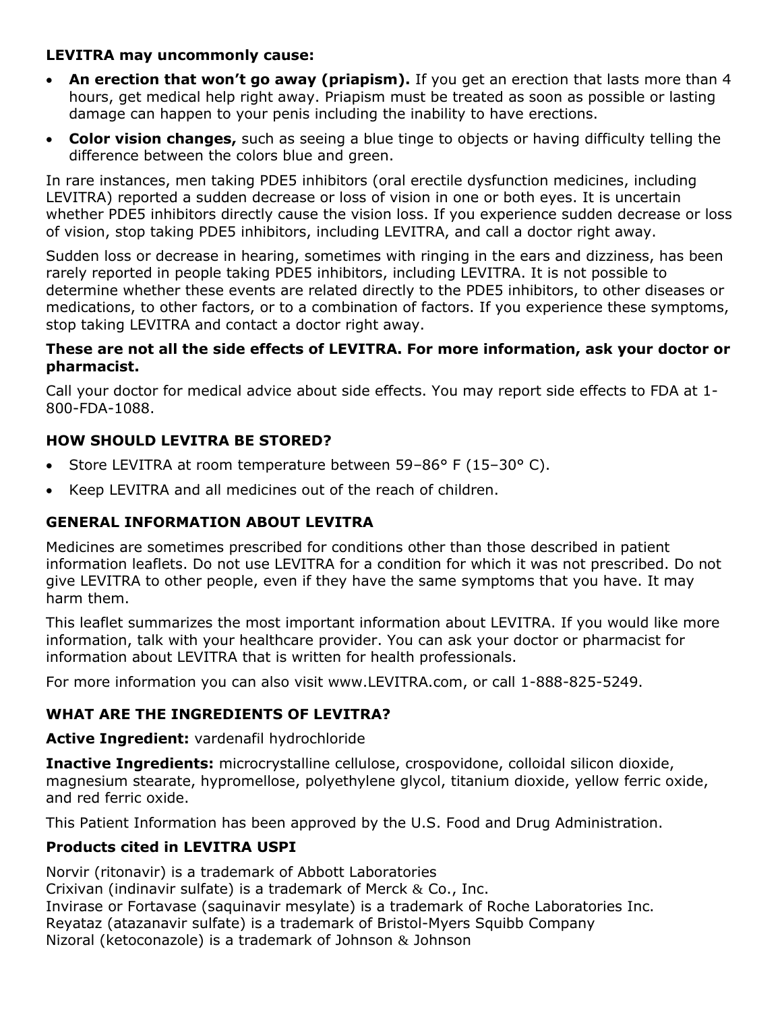# **LEVITRA may uncommonly cause:**

- **An erection that won't go away (priapism).** If you get an erection that lasts more than 4 hours, get medical help right away. Priapism must be treated as soon as possible or lasting damage can happen to your penis including the inability to have erections.
- **Color vision changes,** such as seeing a blue tinge to objects or having difficulty telling the difference between the colors blue and green.

In rare instances, men taking PDE5 inhibitors (oral erectile dysfunction medicines, including LEVITRA) reported a sudden decrease or loss of vision in one or both eyes. It is uncertain whether PDE5 inhibitors directly cause the vision loss. If you experience sudden decrease or loss of vision, stop taking PDE5 inhibitors, including LEVITRA, and call a doctor right away.

Sudden loss or decrease in hearing, sometimes with ringing in the ears and dizziness, has been rarely reported in people taking PDE5 inhibitors, including LEVITRA. It is not possible to determine whether these events are related directly to the PDE5 inhibitors, to other diseases or medications, to other factors, or to a combination of factors. If you experience these symptoms, stop taking LEVITRA and contact a doctor right away.

# **These are not all the side effects of LEVITRA. For more information, ask your doctor or pharmacist.**

Call your doctor for medical advice about side effects. You may report side effects to FDA at 1- 800-FDA-1088.

# **HOW SHOULD LEVITRA BE STORED?**

- Store LEVITRA at room temperature between 59–86° F (15–30° C).
- Keep LEVITRA and all medicines out of the reach of children.

# **GENERAL INFORMATION ABOUT LEVITRA**

Medicines are sometimes prescribed for conditions other than those described in patient information leaflets. Do not use LEVITRA for a condition for which it was not prescribed. Do not give LEVITRA to other people, even if they have the same symptoms that you have. It may harm them.

This leaflet summarizes the most important information about LEVITRA. If you would like more information, talk with your healthcare provider. You can ask your doctor or pharmacist for information about LEVITRA that is written for health professionals.

For more information you can also visit www.LEVITRA.com, or call 1-888-825-5249.

# **WHAT ARE THE INGREDIENTS OF LEVITRA?**

# **Active Ingredient:** vardenafil hydrochloride

**Inactive Ingredients:** microcrystalline cellulose, crospovidone, colloidal silicon dioxide, magnesium stearate, hypromellose, polyethylene glycol, titanium dioxide, yellow ferric oxide, and red ferric oxide.

This Patient Information has been approved by the U.S. Food and Drug Administration.

# **Products cited in LEVITRA USPI**

Norvir (ritonavir) is a trademark of Abbott Laboratories Crixivan (indinavir sulfate) is a trademark of Merck & Co., Inc. Invirase or Fortavase (saquinavir mesylate) is a trademark of Roche Laboratories Inc. Reyataz (atazanavir sulfate) is a trademark of Bristol-Myers Squibb Company Nizoral (ketoconazole) is a trademark of Johnson & Johnson